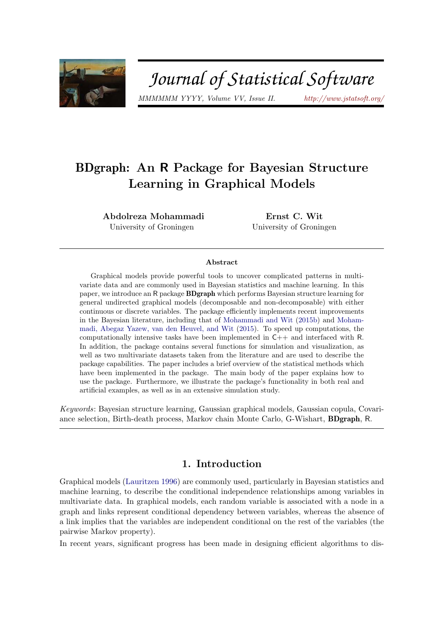

# Journal of Statistical Software

*MMMMMM YYYY, Volume VV, Issue II. <http://www.jstatsoft.org/>*

## BDgraph: An R Package for Bayesian Structure Learning in Graphical Models

Abdolreza Mohammadi University of Groningen

Ernst C. Wit University of Groningen

#### Abstract

Graphical models provide powerful tools to uncover complicated patterns in multivariate data and are commonly used in Bayesian statistics and machine learning. In this paper, we introduce an R package BDgraph which performs Bayesian structure learning for general undirected graphical models (decomposable and non-decomposable) with either continuous or discrete variables. The package efficiently implements recent improvements in the Bayesian literature, including that of [Mohammadi and Wit](#page-31-0) [\(2015b\)](#page-31-0) and [Moham](#page-31-1)[madi, Abegaz Yazew, van den Heuvel, and Wit](#page-31-1) [\(2015\)](#page-31-1). To speed up computations, the computationally intensive tasks have been implemented in C++ and interfaced with R. In addition, the package contains several functions for simulation and visualization, as well as two multivariate datasets taken from the literature and are used to describe the package capabilities. The paper includes a brief overview of the statistical methods which have been implemented in the package. The main body of the paper explains how to use the package. Furthermore, we illustrate the package's functionality in both real and artificial examples, as well as in an extensive simulation study.

*Keywords*: Bayesian structure learning, Gaussian graphical models, Gaussian copula, Covariance selection, Birth-death process, Markov chain Monte Carlo, G-Wishart, BDgraph, R.

## 1. Introduction

Graphical models [\(Lauritzen 1996\)](#page-31-2) are commonly used, particularly in Bayesian statistics and machine learning, to describe the conditional independence relationships among variables in multivariate data. In graphical models, each random variable is associated with a node in a graph and links represent conditional dependency between variables, whereas the absence of a link implies that the variables are independent conditional on the rest of the variables (the pairwise Markov property).

In recent years, significant progress has been made in designing efficient algorithms to dis-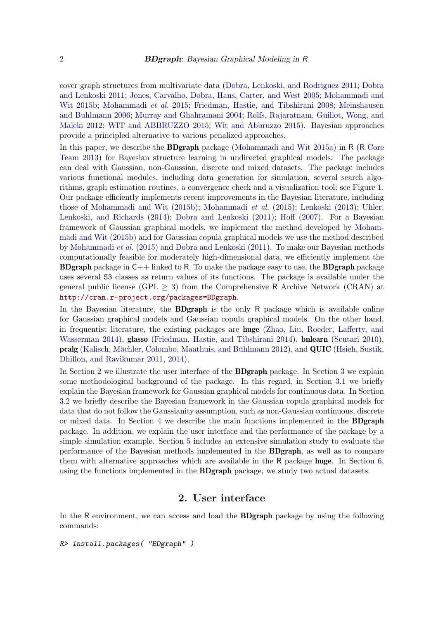cover graph structures from multivariate data [\(Dobra, Lenkoski, and Rodriguez 2011;](#page-30-0) [Dobra](#page-30-1) [and Lenkoski 2011;](#page-30-1) [Jones, Carvalho, Dobra, Hans, Carter, and West 2005;](#page-31-3) [Mohammadi and](#page-31-0) [Wit 2015b;](#page-31-0) [Mohammadi](#page-31-1) *et al.* [2015;](#page-31-1) [Friedman, Hastie, and Tibshirani 2008;](#page-30-2) [Meinshausen](#page-31-4) [and Buhlmann 2006;](#page-31-4) [Murray and Ghahramani 2004;](#page-31-5) [Rolfs, Rajaratnam, Guillot, Wong, and](#page-32-0) [Maleki 2012;](#page-32-0) [WIT and ABBRUZZO 2015;](#page-32-1) [Wit and Abbruzzo 2015\)](#page-32-2). Bayesian approaches provide a principled alternative to various penalized approaches.

In this paper, we describe the BDgraph package [\(Mohammadi and Wit 2015a\)](#page-31-6) in R (R [Core](#page-32-3) [Team 2013\)](#page-32-3) for Bayesian structure learning in undirected graphical models. The package can deal with Gaussian, non-Gaussian, discrete and mixed datasets. The package includes various functional modules, including data generation for simulation, several search algorithms, graph estimation routines, a convergence check and a visualization tool; see Figure [1.](#page-2-0) Our package efficiently implements recent improvements in the Bayesian literature, including those of [Mohammadi and Wit](#page-31-0) [\(2015b\)](#page-31-0); [Mohammadi](#page-31-1) *et al.* [\(2015\)](#page-31-1); [Lenkoski](#page-31-7) [\(2013\)](#page-31-7); [Uhler,](#page-32-4) [Lenkoski, and Richards](#page-32-4) [\(2014\)](#page-32-4); [Dobra and Lenkoski](#page-30-1) [\(2011\)](#page-30-1); [Hoff](#page-30-3) [\(2007\)](#page-30-3). For a Bayesian framework of Gaussian graphical models, we implement the method developed by [Moham](#page-31-0)[madi and Wit](#page-31-0) [\(2015b\)](#page-31-0) and for Gaussian copula graphical models we use the method described by [Mohammadi](#page-31-1) *et al.* [\(2015\)](#page-31-1) and [Dobra and Lenkoski](#page-30-1) [\(2011\)](#page-30-1). To make our Bayesian methods computationally feasible for moderately high-dimensional data, we efficiently implement the **BDgraph** package in  $C_{++}$  linked to R. To make the package easy to use, the **BDgraph** package uses several S3 classes as return values of its functions. The package is available under the general public license (GPL  $> 3$ ) from the Comprehensive R Archive Network (CRAN) at <http://cran.r-project.org/packages=BDgraph>.

In the Bayesian literature, the **BDgraph** is the only R package which is available online for Gaussian graphical models and Gaussian copula graphical models. On the other hand, in frequentist literature, the existing packages are huge [\(Zhao, Liu, Roeder, Lafferty, and](#page-32-5) [Wasserman 2014\)](#page-32-5), glasso [\(Friedman, Hastie, and Tibshirani 2014\)](#page-30-4), bnlearn [\(Scutari 2010\)](#page-32-6), pcalg (Kalisch, Mächler, Colombo, Maathuis, and Bühlmann 2012), and QUIC [\(Hsieh, Sustik,](#page-30-5) [Dhillon, and Ravikumar 2011,](#page-30-5) [2014\)](#page-31-9).

In Section [2](#page-1-0) we illustrate the user interface of the BDgraph package. In Section [3](#page-3-0) we explain some methodological background of the package. In this regard, in Section [3.1](#page-3-1) we briefly explain the Bayesian framework for Gaussian graphical models for continuous data. In Section [3.2](#page-6-0) we briefly describe the Bayesian framework in the Gaussian copula graphical models for data that do not follow the Gaussianity assumption, such as non-Gaussian continuous, discrete or mixed data. In Section [4](#page-9-0) we describe the main functions implemented in the BDgraph package. In addition, we explain the user interface and the performance of the package by a simple simulation example. Section [5](#page-16-0) includes an extensive simulation study to evaluate the performance of the Bayesian methods implemented in the BDgraph, as well as to compare them with alternative approaches which are available in the R package huge. In Section [6,](#page-21-0) using the functions implemented in the BDgraph package, we study two actual datasets.

## 2. User interface

<span id="page-1-0"></span>In the R environment, we can access and load the **BDgraph** package by using the following commands:

R> install.packages( "BDgraph" )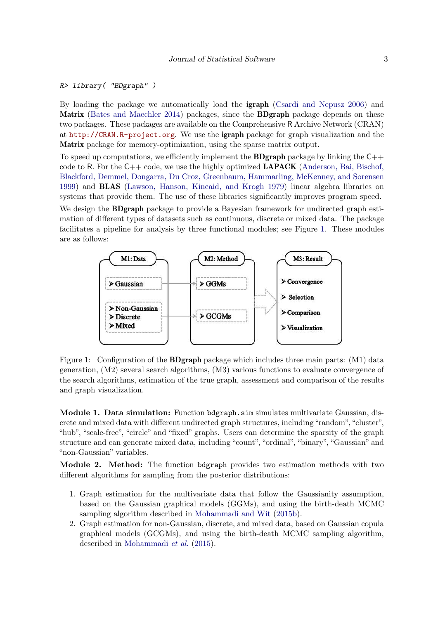## R> library( "BDgraph" )

By loading the package we automatically load the igraph [\(Csardi and Nepusz 2006\)](#page-30-6) and Matrix [\(Bates and Maechler 2014\)](#page-29-0) packages, since the **BDgraph** package depends on these two packages. These packages are available on the Comprehensive R Archive Network (CRAN) at <http://CRAN.R-project.org>. We use the igraph package for graph visualization and the Matrix package for memory-optimization, using the sparse matrix output.

To speed up computations, we efficiently implement the **BDgraph** package by linking the  $C++$ code to R. For the  $C_{++}$  code, we use the highly optimized **LAPACK** [\(Anderson, Bai, Bischof,](#page-29-1) [Blackford, Demmel, Dongarra, Du Croz, Greenbaum, Hammarling, McKenney,](#page-29-1) and Sorensen [1999\)](#page-29-1) and BLAS [\(Lawson, Hanson, Kincaid, and Krogh 1979\)](#page-31-10) linear algebra libraries on systems that provide them. The use of these libraries significantly improves program speed.

We design the **BDgraph** package to provide a Bayesian framework for undirected graph estimation of different types of datasets such as continuous, discrete or mixed data. The package facilitates a pipeline for analysis by three functional modules; see Figure [1.](#page-2-0) These modules are as follows:

<span id="page-2-0"></span>

Figure 1: Configuration of the **BDgraph** package which includes three main parts: (M1) data generation, (M2) several search algorithms, (M3) various functions to evaluate convergence of the search algorithms, estimation of the true graph, assessment and comparison of the results and graph visualization.

Module 1. Data simulation: Function bdgraph.sim simulates multivariate Gaussian, discrete and mixed data with different undirected graph structures, including "random", "cluster", "hub", "scale-free", "circle" and "fixed" graphs. Users can determine the sparsity of the graph structure and can generate mixed data, including "count", "ordinal", "binary", "Gaussian" and "non-Gaussian" variables.

Module 2. Method: The function bdgraph provides two estimation methods with two different algorithms for sampling from the posterior distributions:

- 1. Graph estimation for the multivariate data that follow the Gaussianity assumption, based on the Gaussian graphical models (GGMs), and using the birth-death MCMC sampling algorithm described in [Mohammadi and Wit](#page-31-0) [\(2015b\)](#page-31-0).
- 2. Graph estimation for non-Gaussian, discrete, and mixed data, based on Gaussian copula graphical models (GCGMs), and using the birth-death MCMC sampling algorithm, described in [Mohammadi](#page-31-1) *et al.* [\(2015\)](#page-31-1).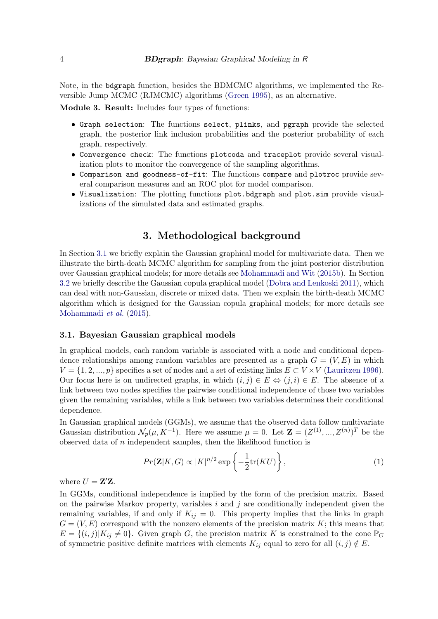Note, in the bdgraph function, besides the BDMCMC algorithms, we implemented the Reversible Jump MCMC (RJMCMC) algorithms [\(Green 1995\)](#page-30-7), as an alternative.

Module 3. Result: Includes four types of functions:

- ❼ Graph selection: The functions select, plinks, and pgraph provide the selected graph, the posterior link inclusion probabilities and the posterior probability of each graph, respectively.
- ❼ Convergence check: The functions plotcoda and traceplot provide several visualization plots to monitor the convergence of the sampling algorithms.
- ❼ Comparison and goodness-of-fit: The functions compare and plotroc provide several comparison measures and an ROC plot for model comparison.
- ❼ Visualization: The plotting functions plot.bdgraph and plot.sim provide visualizations of the simulated data and estimated graphs.

## 3. Methodological background

<span id="page-3-0"></span>In Section [3.1](#page-3-1) we briefly explain the Gaussian graphical model for multivariate data. Then we illustrate the birth-death MCMC algorithm for sampling from the joint posterior distribution over Gaussian graphical models; for more details see [Mohammadi and Wit](#page-31-0) [\(2015b\)](#page-31-0). In Section [3.2](#page-6-0) we briefly describe the Gaussian copula graphical model [\(Dobra and Lenkoski 2011\)](#page-30-1), which can deal with non-Gaussian, discrete or mixed data. Then we explain the birth-death MCMC algorithm which is designed for the Gaussian copula graphical models; for more details see [Mohammadi](#page-31-1) *et al.* [\(2015\)](#page-31-1).

#### <span id="page-3-1"></span>3.1. Bayesian Gaussian graphical models

In graphical models, each random variable is associated with a node and conditional dependence relationships among random variables are presented as a graph  $G = (V, E)$  in which  $V = \{1, 2, ..., p\}$  specifies a set of nodes and a set of existing links  $E \subset V \times V$  [\(Lauritzen 1996\)](#page-31-2). Our focus here is on undirected graphs, in which  $(i, j) \in E \Leftrightarrow (j, i) \in E$ . The absence of a link between two nodes specifies the pairwise conditional independence of those two variables given the remaining variables, while a link between two variables determines their conditional dependence.

In Gaussian graphical models (GGMs), we assume that the observed data follow multivariate Gaussian distribution  $\mathcal{N}_p(\mu, K^{-1})$ . Here we assume  $\mu = 0$ . Let  $\mathbf{Z} = (Z^{(1)}, ..., Z^{(n)})^T$  be the observed data of  $n$  independent samples, then the likelihood function is

<span id="page-3-2"></span>
$$
Pr(\mathbf{Z}|K, G) \propto |K|^{n/2} \exp\left\{-\frac{1}{2}\text{tr}(KU)\right\},\tag{1}
$$

where  $U = \mathbf{Z}'\mathbf{Z}$ .

In GGMs, conditional independence is implied by the form of the precision matrix. Based on the pairwise Markov property, variables  $i$  and  $j$  are conditionally independent given the remaining variables, if and only if  $K_{ij} = 0$ . This property implies that the links in graph  $G = (V, E)$  correspond with the nonzero elements of the precision matrix K; this means that  $E = \{(i, j) | K_{ij} \neq 0\}$ . Given graph G, the precision matrix K is constrained to the cone  $\mathbb{P}_G$ of symmetric positive definite matrices with elements  $K_{ij}$  equal to zero for all  $(i, j) \notin E$ .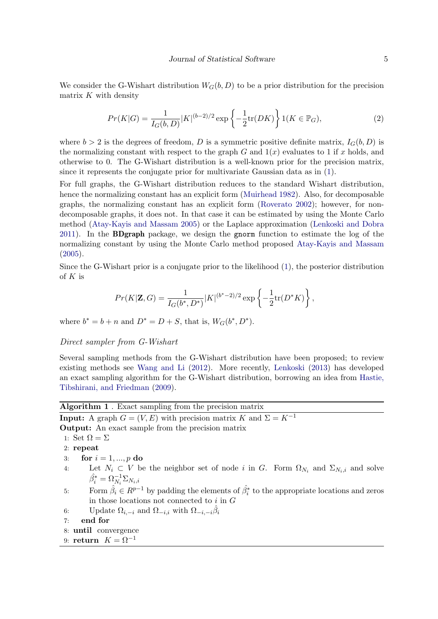We consider the G-Wishart distribution  $W_G(b, D)$  to be a prior distribution for the precision matrix  $K$  with density

$$
Pr(K|G) = \frac{1}{I_G(b,D)} |K|^{(b-2)/2} \exp\left\{-\frac{1}{2}\text{tr}(DK)\right\} 1(K \in \mathbb{P}_G),\tag{2}
$$

where  $b > 2$  is the degrees of freedom, D is a symmetric positive definite matrix,  $I_G(b, D)$  is the normalizing constant with respect to the graph G and  $1(x)$  evaluates to 1 if x holds, and otherwise to 0. The G-Wishart distribution is a well-known prior for the precision matrix, since it represents the conjugate prior for multivariate Gaussian data as in [\(1\)](#page-3-2).

For full graphs, the G-Wishart distribution reduces to the standard Wishart distribution, hence the normalizing constant has an explicit form [\(Muirhead 1982\)](#page-31-11). Also, for decomposable graphs, the normalizing constant has an explicit form [\(Roverato 2002\)](#page-32-7); however, for nondecomposable graphs, it does not. In that case it can be estimated by using the Monte Carlo method [\(Atay-Kayis and Massam 2005\)](#page-29-2) or the Laplace approximation [\(Lenkoski and Dobra](#page-31-12) [2011\)](#page-31-12). In the BDgraph package, we design the gnorm function to estimate the log of the normalizing constant by using the Monte Carlo method proposed [Atay-Kayis and Massam](#page-29-2) [\(2005\)](#page-29-2).

Since the G-Wishart prior is a conjugate prior to the likelihood [\(1\)](#page-3-2), the posterior distribution of  $K$  is

$$
Pr(K|\mathbf{Z}, G) = \frac{1}{I_G(b^*, D^*)} |K|^{(b^*-2)/2} \exp\left\{-\frac{1}{2} \text{tr}(D^*K)\right\},\,
$$

where  $b^* = b + n$  and  $D^* = D + S$ , that is,  $W_G(b^*, D^*)$ .

#### <span id="page-4-1"></span>Direct sampler from G-Wishart

Several sampling methods from the G-Wishart distribution have been proposed; to review existing methods see [Wang and Li](#page-32-8) [\(2012\)](#page-32-8). More recently, [Lenkoski](#page-31-7) [\(2013\)](#page-31-7) has developed an exact sampling algorithm for the G-Wishart distribution, borrowing an idea from [Hastie,](#page-30-8) [Tibshirani, and Friedman](#page-30-8) [\(2009\)](#page-30-8).

<span id="page-4-0"></span>

| <b>Algorithm 1</b> . Exact sampling from the precision matrix                                                              |
|----------------------------------------------------------------------------------------------------------------------------|
| <b>Input:</b> A graph $G = (V, E)$ with precision matrix K and $\Sigma = K^{-1}$                                           |
| <b>Output:</b> An exact sample from the precision matrix                                                                   |
| 1: Set $\Omega = \Sigma$                                                                                                   |
| $2:$ repeat                                                                                                                |
| for $i = 1, , p$ do<br>3:                                                                                                  |
| Let $N_i \subset V$ be the neighbor set of node i in G. Form $\Omega_{N_i}$ and $\Sigma_{N_i,i}$ and solve<br>4:           |
| $\hat{\beta}_i^* = \Omega_N^{-1} \Sigma_{N_i,i}$                                                                           |
| Form $\hat{\beta}_i \in R^{p-1}$ by padding the elements of $\hat{\beta}_i^*$ to the appropriate locations and zeros<br>5: |
| in those locations not connected to $i$ in $G$                                                                             |
| Update $\Omega_{i,-i}$ and $\Omega_{-i,i}$ with $\Omega_{-i,-i}\beta_i$<br>6:                                              |
| end for<br>7:                                                                                                              |
| 8: until convergence                                                                                                       |
|                                                                                                                            |

9: return  $K = \Omega^{-1}$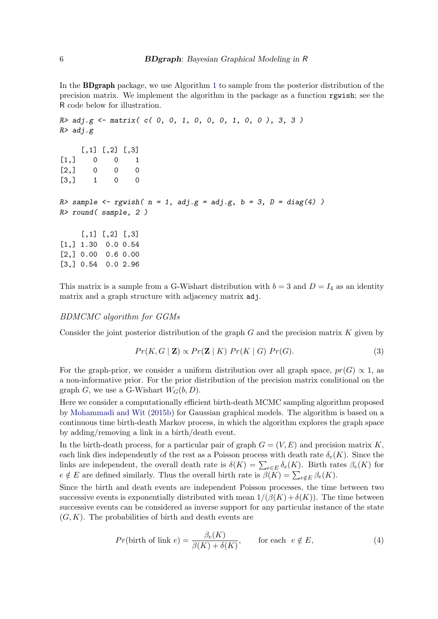In the BDgraph package, we use Algorithm [1](#page-4-0) to sample from the posterior distribution of the precision matrix. We implement the algorithm in the package as a function rgwish; see the R code below for illustration.

```
R > adj.g \leftarrow matrix([c([0, 0, 1, 0, 0, 0, 1, 0, 0, 3, 3])R> adj.g
    [,1] [,2] [,3][1,] 0 0 1
[2,] 0 0 0[3,] 1 0 0
R> sample <- rgwish(n = 1, adj.g = adj.g, b = 3, D = diag(4))
R> round( sample, 2 )
    [,1] [,2] [,3][1,] 1.30 0.0 0.54
[2,] 0.00 0.6 0.00
[3,] 0.54 0.0 2.96
```
This matrix is a sample from a G-Wishart distribution with  $b = 3$  and  $D = I_4$  as an identity matrix and a graph structure with adjacency matrix adj.

#### BDMCMC algorithm for GGMs

Consider the joint posterior distribution of the graph  $G$  and the precision matrix  $K$  given by

<span id="page-5-0"></span>
$$
Pr(K, G | \mathbf{Z}) \propto Pr(\mathbf{Z} | K) Pr(K | G) Pr(G).
$$
\n(3)

For the graph-prior, we consider a uniform distribution over all graph space,  $pr(G) \propto 1$ , as a non-informative prior. For the prior distribution of the precision matrix conditional on the graph G, we use a G-Wishart  $W_G(b, D)$ .

Here we consider a computationally efficient birth-death MCMC sampling algorithm proposed by [Mohammadi and Wit](#page-31-0) [\(2015b\)](#page-31-0) for Gaussian graphical models. The algorithm is based on a continuous time birth-death Markov process, in which the algorithm explores the graph space by adding/removing a link in a birth/death event.

In the birth-death process, for a particular pair of graph  $G = (V, E)$  and precision matrix K, each link dies independently of the rest as a Poisson process with death rate  $\delta_e(K)$ . Since the links are independent, the overall death rate is  $\delta(K) = \sum_{e \in E} \delta_e(K)$ . Birth rates  $\beta_e(K)$  for  $e \notin E$  are defined similarly. Thus the overall birth rate is  $\beta(K) = \sum_{e \notin E} \beta_e(K)$ .

Since the birth and death events are independent Poisson processes, the time between two successive events is exponentially distributed with mean  $1/(\beta(K) + \delta(K))$ . The time between successive events can be considered as inverse support for any particular instance of the state  $(G, K)$ . The probabilities of birth and death events are

<span id="page-5-1"></span>
$$
Pr(\text{birth of link } e) = \frac{\beta_e(K)}{\beta(K) + \delta(K)}, \qquad \text{for each } e \notin E,
$$
\n
$$
(4)
$$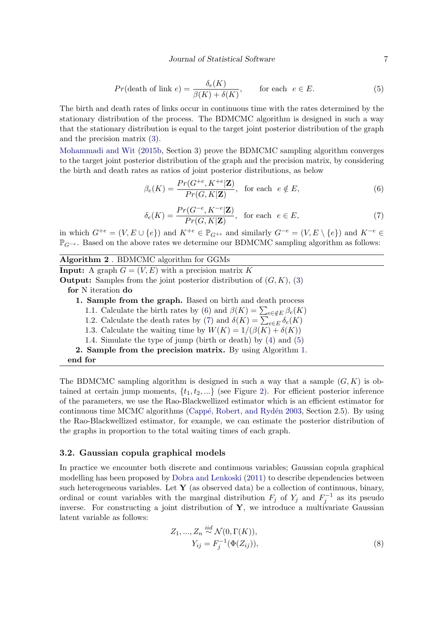#### Journal of Statistical Software 7

<span id="page-6-3"></span>
$$
Pr(\text{death of link } e) = \frac{\delta_e(K)}{\beta(K) + \delta(K)}, \qquad \text{for each } e \in E. \tag{5}
$$

The birth and death rates of links occur in continuous time with the rates determined by the stationary distribution of the process. The BDMCMC algorithm is designed in such a way that the stationary distribution is equal to the target joint posterior distribution of the graph and the precision matrix [\(3\)](#page-5-0).

[Mohammadi and Wit](#page-31-0) [\(2015b,](#page-31-0) Section 3) prove the BDMCMC sampling algorithm converges to the target joint posterior distribution of the graph and the precision matrix, by considering the birth and death rates as ratios of joint posterior distributions, as below

<span id="page-6-1"></span>
$$
\beta_e(K) = \frac{Pr(G^{+e}, K^{+e}|\mathbf{Z})}{Pr(G, K|\mathbf{Z})}, \text{ for each } e \notin E,
$$
\n(6)

$$
\delta_e(K) = \frac{Pr(G^{-e}, K^{-e}|\mathbf{Z})}{Pr(G, K|\mathbf{Z})}, \text{ for each } e \in E,
$$
\n
$$
(7)
$$

<span id="page-6-2"></span>in which  $G^{+e} = (V, E \cup \{e\})$  and  $K^{+e} \in \mathbb{P}_{G^{+e}}$  and similarly  $G^{-e} = (V, E \setminus \{e\})$  and  $K^{-e} \in$  $\mathbb{P}_{G^{-e}}$ . Based on the above rates we determine our BDMCMC sampling algorithm as follows:

<span id="page-6-4"></span>Algorithm 2 . BDMCMC algorithm for GGMs **Input:** A graph  $G = (V, E)$  with a precision matrix K **Output:** Samples from the joint posterior distribution of  $(G, K)$ , [\(3\)](#page-5-0) for N iteration do 1. Sample from the graph. Based on birth and death process 1.1. Calculate the birth rates by [\(6\)](#page-6-1) and  $\beta(K) = \sum_{e \in \mathcal{E}} \beta_e(K)$ 1.2. Calculate the death rates by [\(7\)](#page-6-2) and  $\delta(K) = \sum_{e \in E} \delta_e(K)$ 

- 1.3. Calculate the waiting time by  $W(K) = 1/(\beta(K) + \delta(K))$
- 1.4. Simulate the type of jump (birth or death) by [\(4\)](#page-5-1) and [\(5\)](#page-6-3)
- 2. Sample from the precision matrix. By using Algorithm [1.](#page-4-0)
- end for

The BDMCMC sampling algorithm is designed in such a way that a sample  $(G, K)$  is obtained at certain jump moments,  $\{t_1, t_2, ...\}$  (see Figure [2\)](#page-7-0). For efficient posterior inference of the parameters, we use the Rao-Blackwellized estimator which is an efficient estimator for continuous time MCMC algorithms (Cappé, Robert, and Rydén 2003, Section 2.5). By using the Rao-Blackwellized estimator, for example, we can estimate the posterior distribution of the graphs in proportion to the total waiting times of each graph.

#### <span id="page-6-0"></span>3.2. Gaussian copula graphical models

In practice we encounter both discrete and continuous variables; Gaussian copula graphical modelling has been proposed by [Dobra and Lenkoski](#page-30-1) [\(2011\)](#page-30-1) to describe dependencies between such heterogeneous variables. Let  $\bf{Y}$  (as observed data) be a collection of continuous, binary, ordinal or count variables with the marginal distribution  $F_j$  of  $Y_j$  and  $F_j^{-1}$  as its pseudo inverse. For constructing a joint distribution of  $Y$ , we introduce a multivariate Gaussian latent variable as follows:

$$
Z_1, ..., Z_n \stackrel{iid}{\sim} \mathcal{N}(0, \Gamma(K)),
$$
  
\n
$$
Y_{ij} = F_j^{-1}(\Phi(Z_{ij})),
$$
\n(8)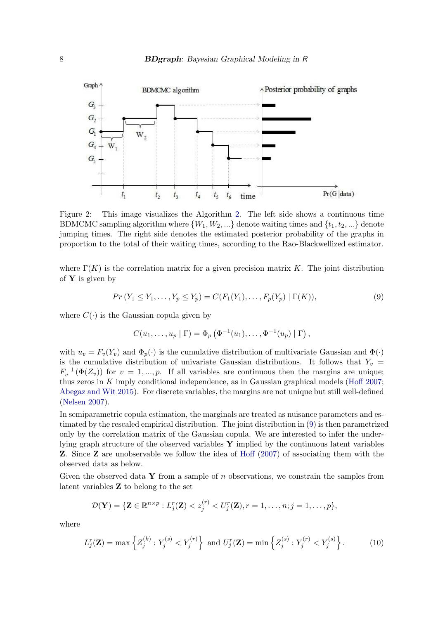

Figure 2: This image visualizes the Algorithm [2.](#page-6-4) The left side shows a continuous time BDMCMC sampling algorithm where  $\{W_1, W_2, ...\}$  denote waiting times and  $\{t_1, t_2, ...\}$  denote jumping times. The right side denotes the estimated posterior probability of the graphs in proportion to the total of their waiting times, according to the Rao-Blackwellized estimator.

where  $\Gamma(K)$  is the correlation matrix for a given precision matrix K. The joint distribution of  $Y$  is given by

<span id="page-7-1"></span>
$$
Pr(Y_1 \le Y_1, \dots, Y_p \le Y_p) = C(F_1(Y_1), \dots, F_p(Y_p) | \Gamma(K)),
$$
\n(9)

where  $C(\cdot)$  is the Gaussian copula given by

<span id="page-7-0"></span>
$$
C(u_1,\ldots,u_p\mid\Gamma)=\Phi_p\left(\Phi^{-1}(u_1),\ldots,\Phi^{-1}(u_p)\mid\Gamma\right),
$$

with  $u_v = F_v(Y_v)$  and  $\Phi_p(\cdot)$  is the cumulative distribution of multivariate Gaussian and  $\Phi(\cdot)$ is the cumulative distribution of univariate Gaussian distributions. It follows that  $Y_v =$  $F_v^{-1}(\Phi(Z_v))$  for  $v = 1, ..., p$ . If all variables are continuous then the margins are unique; thus zeros in  $K$  imply conditional independence, as in Gaussian graphical models [\(Hoff 2007;](#page-30-3) [Abegaz and Wit 2015\)](#page-29-3). For discrete variables, the margins are not unique but still well-defined [\(Nelsen 2007\)](#page-31-13).

In semiparametric copula estimation, the marginals are treated as nuisance parameters and estimated by the rescaled empirical distribution. The joint distribution in [\(9\)](#page-7-1) is then parametrized only by the correlation matrix of the Gaussian copula. We are interested to infer the underlying graph structure of the observed variables  $Y$  implied by the continuous latent variables Z. Since Z are unobservable we follow the idea of [Hoff](#page-30-3) [\(2007\)](#page-30-3) of associating them with the observed data as below.

Given the observed data Y from a sample of  $n$  observations, we constrain the samples from latent variables Z to belong to the set

$$
\mathcal{D}(\mathbf{Y}) = \{ \mathbf{Z} \in \mathbb{R}^{n \times p} : L_j^r(\mathbf{Z}) < z_j^{(r)} < U_j^r(\mathbf{Z}), r = 1, \ldots, n; j = 1, \ldots, p \},\
$$

where

<span id="page-7-2"></span>
$$
L_j^r(\mathbf{Z}) = \max \left\{ Z_j^{(k)} : Y_j^{(s)} < Y_j^{(r)} \right\} \text{ and } U_j^r(\mathbf{Z}) = \min \left\{ Z_j^{(s)} : Y_j^{(r)} < Y_j^{(s)} \right\}. \tag{10}
$$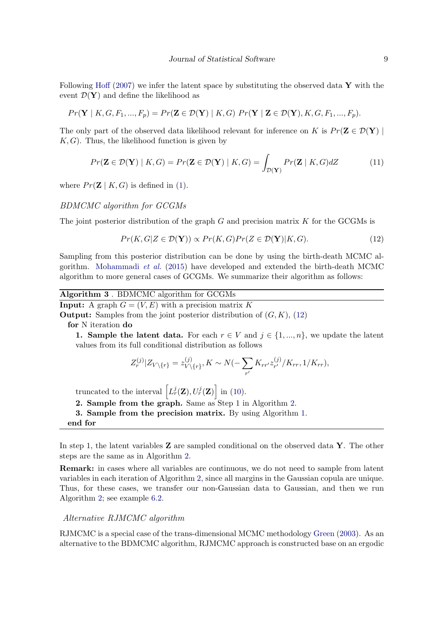Following [Hoff](#page-30-3) [\(2007\)](#page-30-3) we infer the latent space by substituting the observed data  $\bf{Y}$  with the event  $\mathcal{D}(\mathbf{Y})$  and define the likelihood as

$$
Pr(\mathbf{Y} \mid K, G, F_1, ..., F_p) = Pr(\mathbf{Z} \in \mathcal{D}(\mathbf{Y}) \mid K, G) Pr(\mathbf{Y} \mid \mathbf{Z} \in \mathcal{D}(\mathbf{Y}), K, G, F_1, ..., F_p).
$$

The only part of the observed data likelihood relevant for inference on K is  $Pr(\mathbf{Z} \in \mathcal{D}(\mathbf{Y})$  $K, G$ . Thus, the likelihood function is given by

$$
Pr(\mathbf{Z} \in \mathcal{D}(\mathbf{Y}) \mid K, G) = Pr(\mathbf{Z} \in \mathcal{D}(\mathbf{Y}) \mid K, G) = \int_{\mathcal{D}(\mathbf{Y})} Pr(\mathbf{Z} \mid K, G) dZ \tag{11}
$$

where  $Pr(\mathbf{Z} | K, G)$  is defined in [\(1\)](#page-3-2).

#### BDMCMC algorithm for GCGMs

The joint posterior distribution of the graph  $G$  and precision matrix  $K$  for the GCGMs is

<span id="page-8-0"></span>
$$
Pr(K, G|Z \in \mathcal{D}(\mathbf{Y})) \propto Pr(K, G)Pr(Z \in \mathcal{D}(\mathbf{Y})|K, G). \tag{12}
$$

Sampling from this posterior distribution can be done by using the birth-death MCMC algorithm. [Mohammadi](#page-31-1) *et al.* [\(2015\)](#page-31-1) have developed and extended the birth-death MCMC algorithm to more general cases of GCGMs. We summarize their algorithm as follows:

| Algorithm 3. BDMCMC algorithm for GCGMs |  |  |  |  |
|-----------------------------------------|--|--|--|--|
|-----------------------------------------|--|--|--|--|

<span id="page-8-1"></span>**Input:** A graph  $G = (V, E)$  with a precision matrix K

**Output:** Samples from the joint posterior distribution of  $(G, K)$ , [\(12\)](#page-8-0)

for N iteration do

1. Sample the latent data. For each  $r \in V$  and  $j \in \{1, ..., n\}$ , we update the latent values from its full conditional distribution as follows

$$
Z_r^{(j)}|Z_{V\setminus\{r\}} = z_{V\setminus\{r\}}^{(j)}, K \sim N(-\sum_{r'} K_{rr'} z_{r'}^{(j)}/K_{rr}, 1/K_{rr}),
$$

truncated to the interval  $\left[L_r^j(\mathbf{Z}), U_r^j(\mathbf{Z})\right]$  in [\(10\)](#page-7-2).

2. Sample from the graph. Same as Step 1 in Algorithm [2.](#page-6-4)

3. Sample from the precision matrix. By using Algorithm [1.](#page-4-0)

end for

In step 1, the latent variables **Z** are sampled conditional on the observed data **Y**. The other steps are the same as in Algorithm [2.](#page-6-4)

Remark: in cases where all variables are continuous, we do not need to sample from latent variables in each iteration of Algorithm [2,](#page-6-4) since all margins in the Gaussian copula are unique. Thus, for these cases, we transfer our non-Gaussian data to Gaussian, and then we run Algorithm [2;](#page-6-4) see example [6.2.](#page-25-0)

#### Alternative RJMCMC algorithm

RJMCMC is a special case of the trans-dimensional MCMC methodology [Green](#page-30-10) [\(2003\)](#page-30-10). As an alternative to the BDMCMC algorithm, RJMCMC approach is constructed base on an ergodic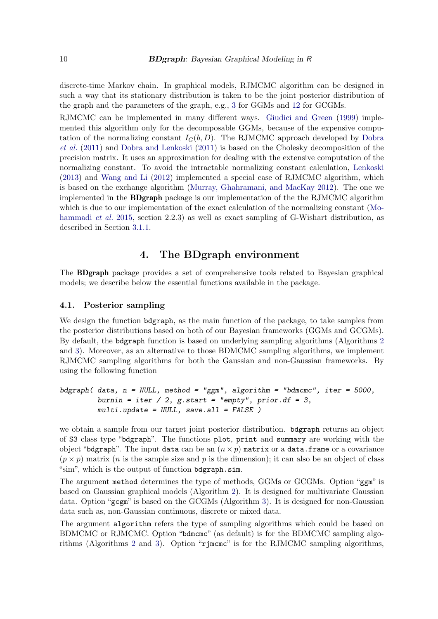discrete-time Markov chain. In graphical models, RJMCMC algorithm can be designed in such a way that its stationary distribution is taken to be the joint posterior distribution of the graph and the parameters of the graph, e.g., [3](#page-5-0) for GGMs and [12](#page-8-0) for GCGMs.

RJMCMC can be implemented in many different ways. [Giudici and Green](#page-30-11) [\(1999\)](#page-30-11) implemented this algorithm only for the decomposable GGMs, because of the expensive computation of the normalizing constant  $I_G(b, D)$ . The RJMCMC approach developed by [Dobra](#page-30-0) *[et al.](#page-30-0)* [\(2011\)](#page-30-0) and [Dobra and Lenkoski](#page-30-1) [\(2011\)](#page-30-1) is based on the Cholesky decomposition of the precision matrix. It uses an approximation for dealing with the extensive computation of the normalizing constant. To avoid the intractable normalizing constant calculation, [Lenkoski](#page-31-7) [\(2013\)](#page-31-7) and [Wang and Li](#page-32-8) [\(2012\)](#page-32-8) implemented a special case of RJMCMC algorithm, which is based on the exchange algorithm [\(Murray, Ghahramani, and MacKay 2012\)](#page-31-14). The one we implemented in the BDgraph package is our implementation of the the RJMCMC algorithm which is due to our implementation of the exact calculation of the normalizing constant [\(Mo](#page-31-1)[hammadi](#page-31-1) *et al.* [2015,](#page-31-1) section 2.2.3) as well as exact sampling of G-Wishart distribution, as described in Section [3.1.1.](#page-4-1)

## 4. The BDgraph environment

<span id="page-9-0"></span>The BDgraph package provides a set of comprehensive tools related to Bayesian graphical models; we describe below the essential functions available in the package.

#### 4.1. Posterior sampling

We design the function bdgraph, as the main function of the package, to take samples from the posterior distributions based on both of our Bayesian frameworks (GGMs and GCGMs). By default, the bdgraph function is based on underlying sampling algorithms (Algorithms [2](#page-6-4) and [3\)](#page-8-1). Moreover, as an alternative to those BDMCMC sampling algorithms, we implement RJMCMC sampling algorithms for both the Gaussian and non-Gaussian frameworks. By using the following function

```
bdgraph( data, n = NULL, method = "ggm", algorithm = "bdmcmc", iter = 5000,
         burnin = iter / 2, g.start = "empty", prior.df = 3,
        multi.update = NULL, save. all = FALSE)
```
we obtain a sample from our target joint posterior distribution. bdgraph returns an object of S3 class type "bdgraph". The functions plot, print and summary are working with the object "bdgraph". The input data can be an  $(n \times p)$  matrix or a data.frame or a covariance  $(p \times p)$  matrix (*n* is the sample size and *p* is the dimension); it can also be an object of class "sim", which is the output of function bdgraph.sim.

The argument method determines the type of methods, GGMs or GCGMs. Option "ggm" is based on Gaussian graphical models (Algorithm [2\)](#page-6-4). It is designed for multivariate Gaussian data. Option "gcgm" is based on the GCGMs (Algorithm [3\)](#page-8-1). It is designed for non-Gaussian data such as, non-Gaussian continuous, discrete or mixed data.

The argument algorithm refers the type of sampling algorithms which could be based on BDMCMC or RJMCMC. Option "bdmcmc" (as default) is for the BDMCMC sampling algorithms (Algorithms [2](#page-6-4) and [3\)](#page-8-1). Option "rjmcmc" is for the RJMCMC sampling algorithms,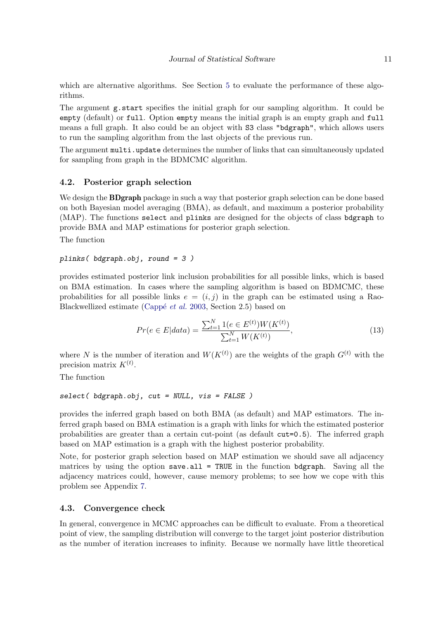which are alternative algorithms. See Section [5](#page-16-0) to evaluate the performance of these algorithms.

The argument g.start specifies the initial graph for our sampling algorithm. It could be empty (default) or full. Option empty means the initial graph is an empty graph and full means a full graph. It also could be an object with S3 class "bdgraph", which allows users to run the sampling algorithm from the last objects of the previous run.

The argument multi.update determines the number of links that can simultaneously updated for sampling from graph in the BDMCMC algorithm.

#### <span id="page-10-0"></span>4.2. Posterior graph selection

We design the **BDgraph** package in such a way that posterior graph selection can be done based on both Bayesian model averaging (BMA), as default, and maximum a posterior probability (MAP). The functions select and plinks are designed for the objects of class bdgraph to provide BMA and MAP estimations for posterior graph selection.

The function

#### plinks( bdgraph.obj, round = 3 )

provides estimated posterior link inclusion probabilities for all possible links, which is based on BMA estimation. In cases where the sampling algorithm is based on BDMCMC, these probabilities for all possible links  $e = (i, j)$  in the graph can be estimated using a Rao-Blackwellized estimate (Cappé *et al.* [2003,](#page-30-9) Section 2.5) based on

<span id="page-10-1"></span>
$$
Pr(e \in E|data) = \frac{\sum_{t=1}^{N} 1(e \in E^{(t)}) W(K^{(t)})}{\sum_{t=1}^{N} W(K^{(t)})},
$$
\n(13)

where N is the number of iteration and  $W(K^{(t)})$  are the weights of the graph  $G^{(t)}$  with the precision matrix  $K^{(t)}$ .

The function

$$
select(bdgraph.obj, cut = NULL, vis = FALSE)
$$

provides the inferred graph based on both BMA (as default) and MAP estimators. The inferred graph based on BMA estimation is a graph with links for which the estimated posterior probabilities are greater than a certain cut-point (as default cut=0.5). The inferred graph based on MAP estimation is a graph with the highest posterior probability.

Note, for posterior graph selection based on MAP estimation we should save all adjacency matrices by using the option save.all = TRUE in the function bdgraph. Saving all the adjacency matrices could, however, cause memory problems; to see how we cope with this problem see Appendix [7.](#page-27-0)

#### 4.3. Convergence check

In general, convergence in MCMC approaches can be difficult to evaluate. From a theoretical point of view, the sampling distribution will converge to the target joint posterior distribution as the number of iteration increases to infinity. Because we normally have little theoretical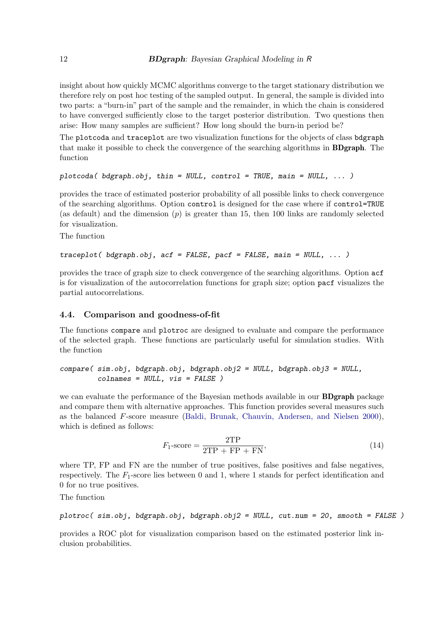insight about how quickly MCMC algorithms converge to the target stationary distribution we therefore rely on post hoc testing of the sampled output. In general, the sample is divided into two parts: a "burn-in" part of the sample and the remainder, in which the chain is considered to have converged sufficiently close to the target posterior distribution. Two questions then arise: How many samples are sufficient? How long should the burn-in period be?

The plotcoda and traceplot are two visualization functions for the objects of class bdgraph that make it possible to check the convergence of the searching algorithms in BDgraph. The function

```
plotcoda( bdgraph.obj, thin = NULL, control = TRUE, main = NULL, \dots)
```
provides the trace of estimated posterior probability of all possible links to check convergence of the searching algorithms. Option control is designed for the case where if control=TRUE (as default) and the dimension  $(p)$  is greater than 15, then 100 links are randomly selected for visualization.

The function

```
traceplot( bdgraph.obj, act = FALSE, pack = FALSE, main = NULL, ... )
```
provides the trace of graph size to check convergence of the searching algorithms. Option acf is for visualization of the autocorrelation functions for graph size; option pacf visualizes the partial autocorrelations.

#### 4.4. Comparison and goodness-of-fit

The functions compare and plotroc are designed to evaluate and compare the performance of the selected graph. These functions are particularly useful for simulation studies. With the function

```
compare( sim.obj, bdgraph.obj, bdgraph.obj2 = NULL, bdgraph.obj3 = NULL,
         colnames = NULL, vis = FALSE )
```
we can evaluate the performance of the Bayesian methods available in our **BDgraph** package and compare them with alternative approaches. This function provides several measures such as the balanced F-score measure [\(Baldi, Brunak, Chauvin, Andersen, and Nielsen 2000\)](#page-29-4), which is defined as follows:

<span id="page-11-0"></span>
$$
F_1\text{-score} = \frac{2\text{TP}}{2\text{TP} + \text{FP} + \text{FN}},\tag{14}
$$

where TP, FP and FN are the number of true positives, false positives and false negatives, respectively. The  $F_1$ -score lies between 0 and 1, where 1 stands for perfect identification and 0 for no true positives.

The function

```
plotroc( sim.obj, bdgraph.obj, bdgraph.obj2 = NULL, cut.num = 20, smooth = FALSE)
```
provides a ROC plot for visualization comparison based on the estimated posterior link inclusion probabilities.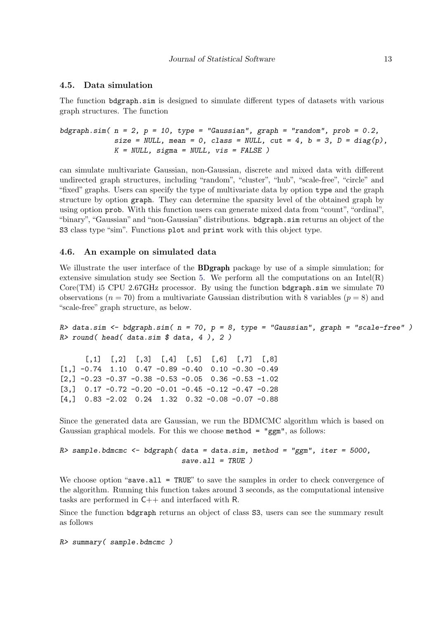#### 4.5. Data simulation

The function bdgraph.sim is designed to simulate different types of datasets with various graph structures. The function

```
bdgraph.sim(n = 2, p = 10, type = "Gaussian", graph = "random", prob = 0.2,
            size = NULL, mean = 0, class = NULL, cut = 4, b = 3, D = diag(p),
            K = NULL, sigma = NULL, vis = FALSE)
```
can simulate multivariate Gaussian, non-Gaussian, discrete and mixed data with different undirected graph structures, including "random", "cluster", "hub", "scale-free", "circle" and "fixed" graphs. Users can specify the type of multivariate data by option type and the graph structure by option graph. They can determine the sparsity level of the obtained graph by using option prob. With this function users can generate mixed data from "count", "ordinal", "binary", "Gaussian" and "non-Gaussian" distributions. bdgraph.sim returns an object of the S3 class type "sim". Functions plot and print work with this object type.

#### 4.6. An example on simulated data

We illustrate the user interface of the **BDgraph** package by use of a simple simulation; for extensive simulation study see Section [5.](#page-16-0) We perform all the computations on an Intel $(R)$ Core(TM) i5 CPU 2.67GHz processor. By using the function bdgraph.sim we simulate 70 observations ( $n = 70$ ) from a multivariate Gaussian distribution with 8 variables ( $p = 8$ ) and "scale-free" graph structure, as below.

 $R$ > data.sim  $\leq$  bdgraph.sim( n = 70, p = 8, type = "Gaussian", graph = "scale-free")  $R$ > round( head( data.sim  $$$  data, 4), 2)

 $[0,1]$   $[0,2]$   $[0,3]$   $[0,4]$   $[0,5]$   $[0,6]$   $[0,7]$   $[0,8]$  $\begin{bmatrix} 1, & -0.74 & 1.10 & 0.47 & -0.89 & -0.40 & 0.10 & -0.30 & -0.49 \end{bmatrix}$  $[2,]$  -0.23 -0.37 -0.38 -0.53 -0.05 0.36 -0.53 -1.02  $[3,]$  0.17 -0.72 -0.20 -0.01 -0.45 -0.12 -0.47 -0.28 [4,] 0.83 -2.02 0.24 1.32 0.32 -0.08 -0.07 -0.88

Since the generated data are Gaussian, we run the BDMCMC algorithm which is based on Gaussian graphical models. For this we choose  $\text{method} = \text{``gem''},$  as follows:

```
R> sample.bdmcmc <- bdgraph( data = data.sim, method = "ggm", iter = 5000,
                             save. all = TRUE)
```
We choose option "save.all = TRUE" to save the samples in order to check convergence of the algorithm. Running this function takes around 3 seconds, as the computational intensive tasks are performed in C++ and interfaced with R.

Since the function bdgraph returns an object of class S3, users can see the summary result as follows

R> summary( sample.bdmcmc )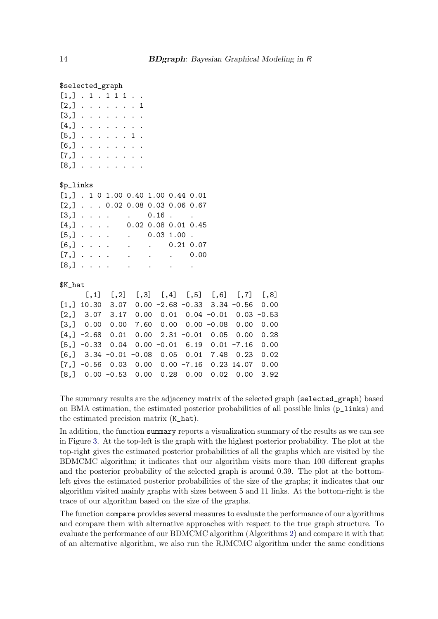#### \$selected\_graph

| $[1,]$ $. 1$ $. 1$ $1$ $1$ $. $ |  |  |  |  |
|---------------------------------|--|--|--|--|
| $[2,]$ 1                        |  |  |  |  |
| $[3,]$                          |  |  |  |  |
| $[4,]$                          |  |  |  |  |
| $[5,]$ 1.                       |  |  |  |  |
| $[6,]$                          |  |  |  |  |
| $[7,]$                          |  |  |  |  |
| $[8,]$                          |  |  |  |  |

#### \$p\_links

|  |  |  | $[1,]$ . 1 0 1.00 0.40 1.00 0.44 0.01                                                                                                                                                                                                                                                                                                                                          |  |
|--|--|--|--------------------------------------------------------------------------------------------------------------------------------------------------------------------------------------------------------------------------------------------------------------------------------------------------------------------------------------------------------------------------------|--|
|  |  |  | $[2,]$ 0.02 0.08 0.03 0.06 0.67                                                                                                                                                                                                                                                                                                                                                |  |
|  |  |  | $[3,] \t i \t i \t i \t j \t i \t j \t j \t i \t j \t i \t j \t j \t j \t j \t i \t j \t j \t j \t j \t i \t j \t j \t j \t i \t j \t i \t j \t i \t j \t i \t j \t i \t j \t i \t j \t i \t j \t i \t j \t i \t j \t i \t j \t i \t j \t i \t j \t i \t j \t i \t j \t i \t j \t i \t j \t i \t j \t i \t j \t i \t j \t i \t j \t i \t j \t i \t j \t i \t j \t i \t j \t i$ |  |
|  |  |  | $[4,]$ 0.02 0.08 0.01 0.45                                                                                                                                                                                                                                                                                                                                                     |  |
|  |  |  |                                                                                                                                                                                                                                                                                                                                                                                |  |
|  |  |  | $[6,]$ 0.21 0.07                                                                                                                                                                                                                                                                                                                                                               |  |
|  |  |  |                                                                                                                                                                                                                                                                                                                                                                                |  |
|  |  |  |                                                                                                                                                                                                                                                                                                                                                                                |  |

#### \$K\_hat

|                                                    |  | $[0,1]$ $[0,2]$ $[0,3]$ $[0,4]$ $[0,5]$ $[0,6]$ $[0,7]$ $[0,8]$ |  |  |
|----------------------------------------------------|--|-----------------------------------------------------------------|--|--|
| $[1,]$ 10.30 3.07 0.00 -2.68 -0.33 3.34 -0.56 0.00 |  |                                                                 |  |  |
| $[2,]$ 3.07 3.17 0.00 0.01 0.04 -0.01 0.03 -0.53   |  |                                                                 |  |  |
| $[3,]$ 0.00 0.00 7.60 0.00 0.00 -0.08 0.00 0.00    |  |                                                                 |  |  |
| $[4, ] -2.68 0.01 0.00 2.31 -0.01 0.05 0.00 0.28$  |  |                                                                 |  |  |
| $[5,]$ -0.33 0.04 0.00 -0.01 6.19 0.01 -7.16 0.00  |  |                                                                 |  |  |
| $[6,]$ 3.34 -0.01 -0.08 0.05 0.01 7.48 0.23 0.02   |  |                                                                 |  |  |
| $[7,]$ -0.56 0.03 0.00 0.00 -7.16 0.23 14.07 0.00  |  |                                                                 |  |  |
| $[8,]$ 0.00 -0.53 0.00 0.28 0.00 0.02 0.00 3.92    |  |                                                                 |  |  |

The summary results are the adjacency matrix of the selected graph (selected\_graph) based on BMA estimation, the estimated posterior probabilities of all possible links (p\_links) and the estimated precision matrix (K\_hat).

In addition, the function summary reports a visualization summary of the results as we can see in Figure [3.](#page-14-0) At the top-left is the graph with the highest posterior probability. The plot at the top-right gives the estimated posterior probabilities of all the graphs which are visited by the BDMCMC algorithm; it indicates that our algorithm visits more than 100 different graphs and the posterior probability of the selected graph is around 0.39. The plot at the bottomleft gives the estimated posterior probabilities of the size of the graphs; it indicates that our algorithm visited mainly graphs with sizes between 5 and 11 links. At the bottom-right is the trace of our algorithm based on the size of the graphs.

The function compare provides several measures to evaluate the performance of our algorithms and compare them with alternative approaches with respect to the true graph structure. To evaluate the performance of our BDMCMC algorithm (Algorithms [2\)](#page-6-4) and compare it with that of an alternative algorithm, we also run the RJMCMC algorithm under the same conditions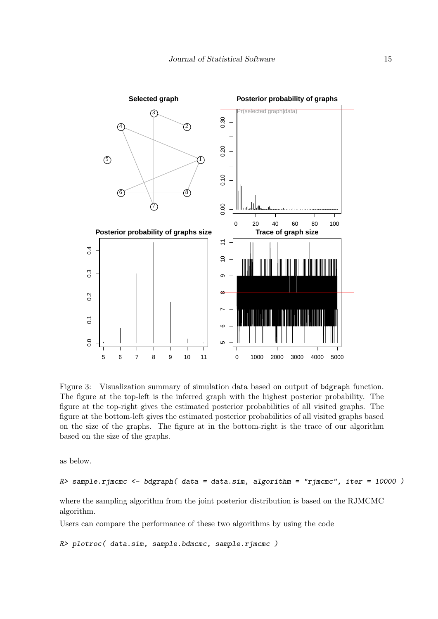

<span id="page-14-0"></span>Figure 3: Visualization summary of simulation data based on output of bdgraph function. The figure at the top-left is the inferred graph with the highest posterior probability. The figure at the top-right gives the estimated posterior probabilities of all visited graphs. The figure at the bottom-left gives the estimated posterior probabilities of all visited graphs based on the size of the graphs. The figure at in the bottom-right is the trace of our algorithm based on the size of the graphs.

as below.

 $R$ > sample.rjmcmc <- bdgraph( data = data.sim, algorithm = "rjmcmc", iter = 10000)

where the sampling algorithm from the joint posterior distribution is based on the RJMCMC algorithm.

Users can compare the performance of these two algorithms by using the code

R> plotroc( data.sim, sample.bdmcmc, sample.rjmcmc )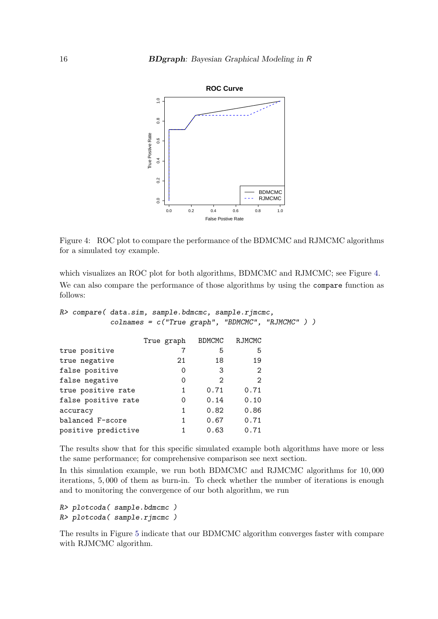<span id="page-15-0"></span>

Figure 4: ROC plot to compare the performance of the BDMCMC and RJMCMC algorithms for a simulated toy example.

which visualizes an ROC plot for both algorithms, BDMCMC and RJMCMC; see Figure [4.](#page-15-0) We can also compare the performance of those algorithms by using the compare function as follows:

```
R> compare( data.sim, sample.bdmcmc, sample.rjmcmc,
            colnames = c("True graph", "BDMCMC", "RJMCMC" ) )
```

|                     | True graph | BDMCMC            | RJMCMC            |  |
|---------------------|------------|-------------------|-------------------|--|
| true positive       |            | 5                 | 5                 |  |
| true negative       | 21         | 18                | 19                |  |
| false positive      | 0          | 3                 | 2                 |  |
| false negative      | 0          | $\mathcal{D}_{1}$ | $\mathcal{D}_{1}$ |  |
| true positive rate  | 1          | 0.71              | 0.71              |  |
| false positive rate | 0          | 0.14              | 0.10              |  |
| accuracy            | 1          | 0.82              | 0.86              |  |
| balanced F-score    | 1          | 0.67              | 0.71              |  |
| positive predictive |            | 0.63              | 0.71              |  |

The results show that for this specific simulated example both algorithms have more or less the same performance; for comprehensive comparison see next section.

In this simulation example, we run both BDMCMC and RJMCMC algorithms for 10, 000 iterations, 5, 000 of them as burn-in. To check whether the number of iterations is enough and to monitoring the convergence of our both algorithm, we run

```
R> plotcoda( sample.bdmcmc )
R> plotcoda( sample.rjmcmc )
```
The results in Figure [5](#page-16-1) indicate that our BDMCMC algorithm converges faster with compare with RJMCMC algorithm.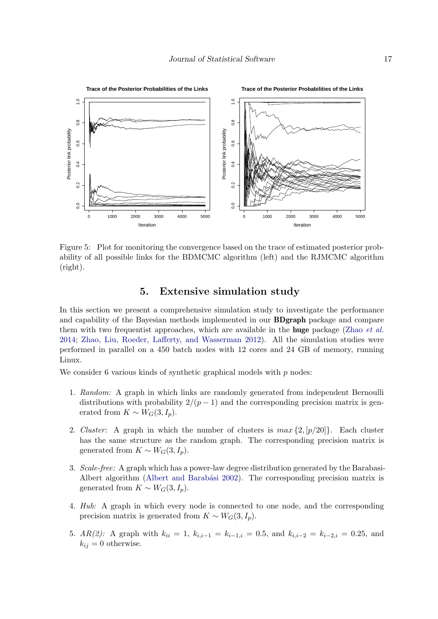

Figure 5: Plot for monitoring the convergence based on the trace of estimated posterior probability of all possible links for the BDMCMC algorithm (left) and the RJMCMC algorithm (right).

## <span id="page-16-1"></span>5. Extensive simulation study

<span id="page-16-0"></span>In this section we present a comprehensive simulation study to investigate the performance and capability of the Bayesian methods implemented in our BDgraph package and compare them with two frequentist approaches, which are available in the huge package (Zhao *[et al.](#page-32-5)* [2014;](#page-32-5) [Zhao, Liu, Roeder, Lafferty, and Wasserman 2012\)](#page-32-9). All the simulation studies were performed in parallel on a 450 batch nodes with 12 cores and 24 GB of memory, running Linux.

We consider 6 various kinds of synthetic graphical models with  $p$  nodes:

- 1. *Random:* A graph in which links are randomly generated from independent Bernoulli distributions with probability  $2/(p-1)$  and the corresponding precision matrix is generated from  $K \sim W_G(3, I_p)$ .
- 2. *Cluster:* A graph in which the number of clusters is  $max\{2, [p/20]\}$ . Each cluster has the same structure as the random graph. The corresponding precision matrix is generated from  $K \sim W_G(3, I_p)$ .
- 3. *Scale-free:* A graph which has a power-law degree distribution generated by the Barabasi-Albert algorithm (Albert and Barabási 2002). The corresponding precision matrix is generated from  $K \sim W_G(3, I_p)$ .
- 4. *Hub:* A graph in which every node is connected to one node, and the corresponding precision matrix is generated from  $K \sim W_G(3, I_p)$ .
- 5. *AR(2):* A graph with  $k_{ii} = 1$ ,  $k_{i,i-1} = k_{i-1,i} = 0.5$ , and  $k_{i,i-2} = k_{i-2,i} = 0.25$ , and  $k_{ij} = 0$  otherwise.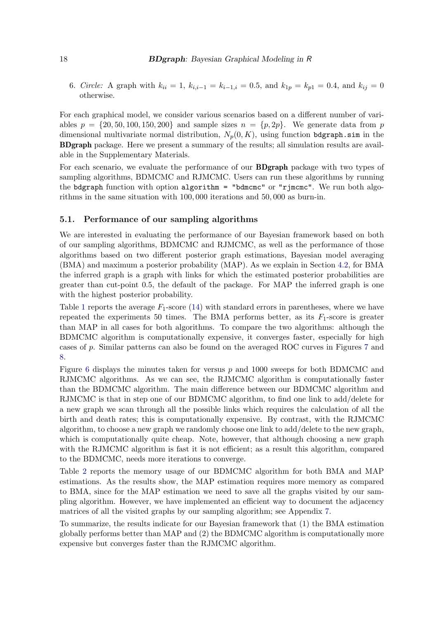6. *Circle:* A graph with  $k_{ii} = 1$ ,  $k_{i,i-1} = k_{i-1,i} = 0.5$ , and  $k_{1p} = k_{p1} = 0.4$ , and  $k_{ij} = 0$ otherwise.

For each graphical model, we consider various scenarios based on a different number of variables  $p = \{20, 50, 100, 150, 200\}$  and sample sizes  $n = \{p, 2p\}$ . We generate data from p dimensional multivariate normal distribution,  $N_p(0, K)$ , using function bdgraph.sim in the BDgraph package. Here we present a summary of the results; all simulation results are available in the Supplementary Materials.

For each scenario, we evaluate the performance of our BDgraph package with two types of sampling algorithms, BDMCMC and RJMCMC. Users can run these algorithms by running the bdgraph function with option algorithm = "bdmcmc" or "rjmcmc". We run both algorithms in the same situation with 100, 000 iterations and 50, 000 as burn-in.

## 5.1. Performance of our sampling algorithms

We are interested in evaluating the performance of our Bayesian framework based on both of our sampling algorithms, BDMCMC and RJMCMC, as well as the performance of those algorithms based on two different posterior graph estimations, Bayesian model averaging (BMA) and maximum a posterior probability (MAP). As we explain in Section [4.2,](#page-10-0) for BMA the inferred graph is a graph with links for which the estimated posterior probabilities are greater than cut-point 0.5, the default of the package. For MAP the inferred graph is one with the highest posterior probability.

Table [1](#page-18-0) reports the average  $F_1$ -score [\(14\)](#page-11-0) with standard errors in parentheses, where we have repeated the experiments 50 times. The BMA performs better, as its  $F_1$ -score is greater than MAP in all cases for both algorithms. To compare the two algorithms: although the BDMCMC algorithm is computationally expensive, it converges faster, especially for high cases of p. Similar patterns can also be found on the averaged ROC curves in Figures [7](#page-22-0) and [8.](#page-23-0)

Figure [6](#page-19-0) displays the minutes taken for versus  $p$  and 1000 sweeps for both BDMCMC and RJMCMC algorithms. As we can see, the RJMCMC algorithm is computationally faster than the BDMCMC algorithm. The main difference between our BDMCMC algorithm and RJMCMC is that in step one of our BDMCMC algorithm, to find one link to add/delete for a new graph we scan through all the possible links which requires the calculation of all the birth and death rates; this is computationally expensive. By contrast, with the RJMCMC algorithm, to choose a new graph we randomly choose one link to add/delete to the new graph, which is computationally quite cheap. Note, however, that although choosing a new graph with the RJMCMC algorithm is fast it is not efficient; as a result this algorithm, compared to the BDMCMC, needs more iterations to converge.

Table [2](#page-19-1) reports the memory usage of our BDMCMC algorithm for both BMA and MAP estimations. As the results show, the MAP estimation requires more memory as compared to BMA, since for the MAP estimation we need to save all the graphs visited by our sampling algorithm. However, we have implemented an efficient way to document the adjacency matrices of all the visited graphs by our sampling algorithm; see Appendix [7.](#page-27-0)

To summarize, the results indicate for our Bayesian framework that (1) the BMA estimation globally performs better than MAP and (2) the BDMCMC algorithm is computationally more expensive but converges faster than the RJMCMC algorithm.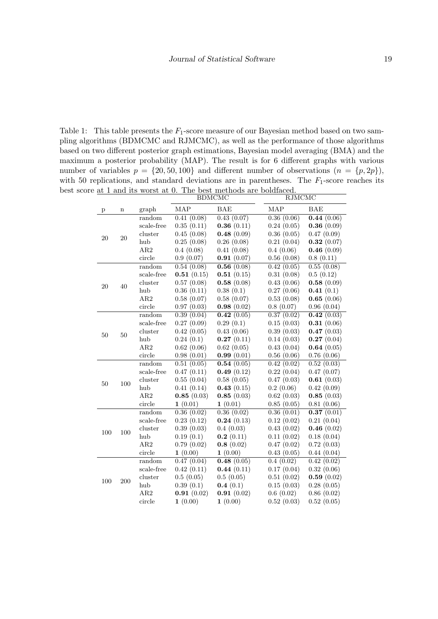<span id="page-18-0"></span>Table 1: This table presents the  $F_1$ -score measure of our Bayesian method based on two sampling algorithms (BDMCMC and RJMCMC), as well as the performance of those algorithms based on two different posterior graph estimations, Bayesian model averaging (BMA) and the maximum a posterior probability (MAP). The result is for 6 different graphs with various number of variables  $p = \{20, 50, 100\}$  and different number of observations  $(n = \{p, 2p\})$ , with 50 replications, and standard deviations are in parentheses. The  $F_1$ -score reaches its best score at 1 and its worst at 0. The best methods are boldfaced.

|              |     |            |            | <b>BDMCMC</b> | RJMCMC     |            |
|--------------|-----|------------|------------|---------------|------------|------------|
| $\mathbf{p}$ | n   | graph      | MAP        | <b>BAE</b>    | MAP        | <b>BAE</b> |
|              |     | random     | 0.41(0.08) | 0.43(0.07)    | 0.36(0.06) | 0.44(0.06) |
|              |     | scale-free | 0.35(0.11) | 0.36(0.11)    | 0.24(0.05) | 0.36(0.09) |
| 20           | 20  | cluster    | 0.45(0.08) | 0.48(0.09)    | 0.36(0.05) | 0.47(0.09) |
|              |     | hub        | 0.25(0.08) | 0.26(0.08)    | 0.21(0.04) | 0.32(0.07) |
|              |     | AR2        | 0.4(0.08)  | 0.41(0.08)    | 0.4(0.06)  | 0.46(0.09) |
|              |     | circle     | 0.9(0.07)  | 0.91(0.07)    | 0.56(0.08) | 0.8(0.11)  |
|              |     | random     | 0.54(0.08) | 0.56(0.08)    | 0.42(0.05) | 0.55(0.08) |
|              |     | scale-free | 0.51(0.15) | 0.51(0.15)    | 0.31(0.08) | 0.5(0.12)  |
| 20           | 40  | cluster    | 0.57(0.08) | 0.58(0.08)    | 0.43(0.06) | 0.58(0.09) |
|              |     | hub        | 0.36(0.11) | 0.38(0.1)     | 0.27(0.06) | 0.41(0.1)  |
|              |     | AR2        | 0.58(0.07) | 0.58(0.07)    | 0.53(0.08) | 0.65(0.06) |
|              |     | circle     | 0.97(0.03) | 0.98(0.02)    | 0.8(0.07)  | 0.96(0.04) |
|              |     | random     | 0.39(0.04) | 0.42(0.05)    | 0.37(0.02) | 0.42(0.03) |
|              |     | scale-free | 0.27(0.09) | 0.29(0.1)     | 0.15(0.03) | 0.31(0.06) |
| 50           | 50  | cluster    | 0.42(0.05) | 0.43(0.06)    | 0.39(0.03) | 0.47(0.03) |
|              |     | hub        | 0.24(0.1)  | 0.27(0.11)    | 0.14(0.03) | 0.27(0.04) |
|              |     | AR2        | 0.62(0.06) | 0.62(0.05)    | 0.43(0.04) | 0.64(0.05) |
|              |     | circle     | 0.98(0.01) | 0.99(0.01)    | 0.56(0.06) | 0.76(0.06) |
|              |     | random     | 0.51(0.05) | 0.54(0.05)    | 0.42(0.02) | 0.52(0.03) |
|              |     | scale-free | 0.47(0.11) | 0.49(0.12)    | 0.22(0.04) | 0.47(0.07) |
| 50           | 100 | cluster    | 0.55(0.04) | 0.58(0.05)    | 0.47(0.03) | 0.61(0.03) |
|              |     | hub        | 0.41(0.14) | 0.43(0.15)    | 0.2(0.06)  | 0.42(0.09) |
|              |     | AR2        | 0.85(0.03) | 0.85(0.03)    | 0.62(0.03) | 0.85(0.03) |
|              |     | circle     | 1(0.01)    | 1(0.01)       | 0.85(0.05) | 0.81(0.06) |
|              |     | random     | 0.36(0.02) | 0.36(0.02)    | 0.36(0.01) | 0.37(0.01) |
|              |     | scale-free | 0.23(0.12) | 0.24(0.13)    | 0.12(0.02) | 0.21(0.04) |
| 100          | 100 | cluster    | 0.39(0.03) | 0.4(0.03)     | 0.43(0.02) | 0.46(0.02) |
|              |     | hub        | 0.19(0.1)  | 0.2(0.11)     | 0.11(0.02) | 0.18(0.04) |
|              |     | AR2        | 0.79(0.02) | 0.8(0.02)     | 0.47(0.02) | 0.72(0.03) |
|              |     | circle     | 1(0.00)    | 1(0.00)       | 0.43(0.05) | 0.44(0.04) |
|              |     | random     | 0.47(0.04) | 0.48(0.05)    | 0.4(0.02)  | 0.42(0.02) |
|              |     | scale-free | 0.42(0.11) | 0.44(0.11)    | 0.17(0.04) | 0.32(0.06) |
| 100          | 200 | cluster    | 0.5(0.05)  | 0.5(0.05)     | 0.51(0.02) | 0.59(0.02) |
|              |     | hub        | 0.39(0.1)  | 0.4(0.1)      | 0.15(0.03) | 0.28(0.05) |
|              |     | AR2        | 0.91(0.02) | 0.91(0.02)    | 0.6(0.02)  | 0.86(0.02) |
|              |     | circle     | 1(0.00)    | 1(0.00)       | 0.52(0.03) | 0.52(0.05) |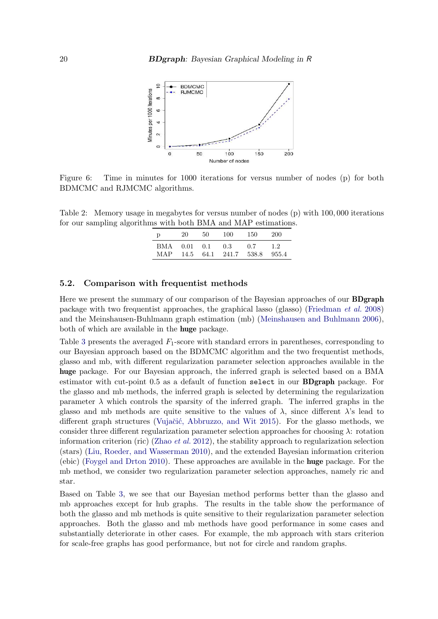

Figure 6: Time in minutes for 1000 iterations for versus number of nodes (p) for both BDMCMC and RJMCMC algorithms.

<span id="page-19-1"></span>Table 2: Memory usage in megabytes for versus number of nodes (p) with 100, 000 iterations for our sampling algorithms with both BMA and MAP estimations.

<span id="page-19-0"></span>

| D   | 20   | 50   | 100   | 150   | 200   |
|-----|------|------|-------|-------|-------|
| BMA | 0.01 | 0.1  | 0.3   | 0.7   | 1.2   |
| MAP | 14.5 | 64.1 | 241.7 | 538.8 | 955.4 |

#### 5.2. Comparison with frequentist methods

Here we present the summary of our comparison of the Bayesian approaches of our **BDgraph** package with two frequentist approaches, the graphical lasso (glasso) [\(Friedman](#page-30-2) *et al.* [2008\)](#page-30-2) and the Meinshausen-Buhlmann graph estimation (mb) [\(Meinshausen and Buhlmann 2006\)](#page-31-4), both of which are available in the huge package.

Table [3](#page-20-0) presents the averaged  $F_1$ -score with standard errors in parentheses, corresponding to our Bayesian approach based on the BDMCMC algorithm and the two frequentist methods, glasso and mb, with different regularization parameter selection approaches available in the huge package. For our Bayesian approach, the inferred graph is selected based on a BMA estimator with cut-point 0.5 as a default of function select in our BDgraph package. For the glasso and mb methods, the inferred graph is selected by determining the regularization parameter  $\lambda$  which controls the sparsity of the inferred graph. The inferred graphs in the glasso and mb methods are quite sensitive to the values of  $\lambda$ , since different  $\lambda$ 's lead to different graph structures (Vujačić, Abbruzzo, and Wit 2015). For the glasso methods, we consider three different regularization parameter selection approaches for choosing  $\lambda$ : rotation information criterion (ric) [\(Zhao](#page-32-9) *et al.* [2012\)](#page-32-9), the stability approach to regularization selection (stars) [\(Liu, Roeder, and Wasserman 2010\)](#page-31-15), and the extended Bayesian information criterion (ebic) [\(Foygel and Drton 2010\)](#page-30-12). These approaches are available in the huge package. For the mb method, we consider two regularization parameter selection approaches, namely ric and star.

Based on Table [3,](#page-20-0) we see that our Bayesian method performs better than the glasso and mb approaches except for hub graphs. The results in the table show the performance of both the glasso and mb methods is quite sensitive to their regularization parameter selection approaches. Both the glasso and mb methods have good performance in some cases and substantially deteriorate in other cases. For example, the mb approach with stars criterion for scale-free graphs has good performance, but not for circle and random graphs.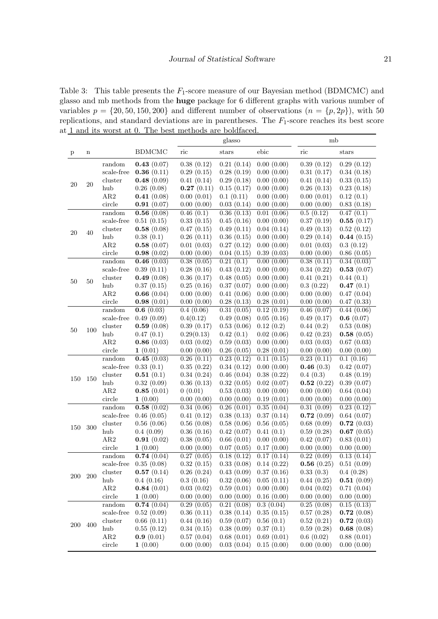<span id="page-20-0"></span>Table 3: This table presents the  $F_1$ -score measure of our Bayesian method (BDMCMC) and glasso and mb methods from the huge package for 6 different graphs with various number of variables  $p = \{20, 50, 150, 200\}$  and different number of observations  $(n = \{p, 2p\})$ , with 50 replications, and standard deviations are in parentheses. The  $F_1$ -score reaches its best score at 1 and its worst at 0. The best methods are boldfaced.

|        |             |                               |               |            | glasso     |                            | mb         |            |
|--------|-------------|-------------------------------|---------------|------------|------------|----------------------------|------------|------------|
| p      | $\mathbf n$ |                               | <b>BDMCMC</b> | ric        | stars      | ebic                       | ric        | stars      |
|        |             | random                        | 0.43(0.07)    | 0.38(0.12) | 0.21(0.14) | 0.00(0.00)                 | 0.39(0.12) | 0.29(0.12) |
|        |             | scale-free                    | 0.36(0.11)    | 0.29(0.15) | 0.28(0.19) | 0.00(0.00)                 | 0.31(0.17) | 0.34(0.18) |
|        |             | cluster                       | 0.48(0.09)    | 0.41(0.14) | 0.29(0.18) | 0.00(0.00)                 | 0.41(0.14) | 0.33(0.15) |
| 20     | $20\,$      | hub                           | 0.26(0.08)    | 0.27(0.11) | 0.15(0.17) | 0.00(0.00)                 | 0.26(0.13) | 0.23(0.18) |
|        |             | AR2                           | 0.41(0.08)    | 0.00(0.01) | 0.1(0.11)  | 0.00(0.00)                 | 0.00(0.01) | 0.12(0.1)  |
|        |             | circle                        | 0.91(0.07)    | 0.00(0.00) | 0.03(0.14) | 0.00(0.00)                 | 0.00(0.00) | 0.83(0.18) |
|        |             | random                        | 0.56(0.08)    | 0.46(0.1)  | 0.36(0.13) | 0.01(0.06)                 | 0.5(0.12)  | 0.47(0.1)  |
|        |             | scale-free                    | 0.51(0.15)    | 0.33(0.15) | 0.45(0.16) | 0.00(0.00)                 | 0.37(0.19) | 0.55(0.17) |
|        |             | cluster                       | 0.58(0.08)    | 0.47(0.15) | 0.49(0.11) | 0.04(0.14)                 | 0.49(0.13) | 0.52(0.12) |
| 20     | 40          | hub                           | 0.38(0.1)     | 0.26(0.11) | 0.36(0.15) | 0.00(0.00)                 | 0.29(0.14) | 0.44(0.15) |
|        |             | AR2                           | 0.58(0.07)    | 0.01(0.03) | 0.27(0.12) | 0.00(0.00)                 | 0.01(0.03) | 0.3(0.12)  |
|        |             | circle                        | 0.98(0.02)    | 0.00(0.00) | 0.04(0.15) | 0.39(0.03)                 | 0.00(0.00) | 0.86(0.05) |
|        |             | $\mathop{\mathrm{random}}$    | 0.46(0.03)    | 0.38(0.05) | 0.21(0.1)  | 0.00(0.00)                 | 0.38(0.11) | 0.34(0.03) |
|        |             | $_{\mbox{\small scale-free}}$ | 0.39(0.11)    | 0.28(0.16) | 0.43(0.12) | 0.00(0.00)                 | 0.34(0.22) | 0.53(0.07) |
|        |             | cluster                       | 0.49(0.08)    | 0.36(0.17) | 0.48(0.05) | 0.00(0.00)                 | 0.41(0.21) | 0.44(0.1)  |
| $50\,$ | 50          | hub                           | 0.37(0.15)    | 0.25(0.16) | 0.37(0.07) | 0.00(0.00)                 | 0.3(0.22)  | 0.47(0.1)  |
|        |             | AR2                           | 0.66(0.04)    | 0.00(0.00) | 0.41(0.06) | 0.00(0.00)                 | 0.00(0.00) | 0.47(0.04) |
|        |             | circle                        | 0.98(0.01)    | 0.00(0.00) | 0.28(0.13) | 0.28(0.01)                 | 0.00(0.00) | 0.47(0.33) |
|        |             | random                        | 0.6(0.03)     | 0.4(0.06)  | 0.31(0.05) | 0.12(0.19)                 | 0.46(0.07) | 0.44(0.06) |
|        |             | scale-free                    | 0.49(0.09)    | 0.4(0.12)  | 0.49(0.08) | 0.05(0.16)                 | 0.49(0.17) | 0.6(0.07)  |
|        |             | cluster                       | 0.59(0.08)    | 0.39(0.17) | 0.53(0.06) | 0.12(0.2)                  | 0.44(0.2)  | 0.53(0.08) |
| $50\,$ | 100         | hub                           | 0.47(0.1)     | 0.29(0.13) | 0.42(0.1)  | 0.02(0.06)                 | 0.42(0.23) | 0.58(0.05) |
|        |             | AR2                           | 0.86(0.03)    | 0.03(0.02) | 0.59(0.03) | 0.00(0.00)                 | 0.03(0.03) | 0.67(0.03) |
|        |             | circle                        | 1(0.01)       | 0.00(0.00) | 0.26(0.05) | 0.28(0.01)                 | 0.00(0.00) | 0.00(0.00) |
|        |             | random                        | 0.45(0.03)    | 0.26(0.11) | 0.23(0.12) | 0.11(0.15)                 | 0.23(0.11) | 0.1(0.16)  |
|        |             | scale-free                    | 0.33(0.1)     | 0.35(0.22) | 0.34(0.12) | 0.00(0.00)                 | 0.46(0.3)  | 0.42(0.07) |
|        |             | cluster                       | 0.51(0.1)     | 0.34(0.24) | 0.46(0.04) | 0.38(0.22)                 | 0.4(0.3)   | 0.48(0.19) |
| 150    | 150         | hub                           | 0.32(0.09)    | 0.36(0.13) | 0.32(0.05) | 0.02(0.07)                 | 0.52(0.22) | 0.39(0.07) |
|        |             | AR2                           | 0.85(0.01)    | 0(0.01)    | 0.53(0.03) | 0.00(0.00)                 | 0.00(0.00) | 0.64(0.04) |
|        |             | circle                        | 1(0.00)       | 0.00(0.00) | 0.00(0.00) | 0.19(0.01)                 | 0.00(0.00) | 0.00(0.00) |
|        |             | random                        | 0.58(0.02)    | 0.34(0.06) | 0.26(0.01) | 0.35(0.04)                 | 0.31(0.09) | 0.23(0.12) |
|        |             | scale-free                    | 0.46(0.05)    | 0.41(0.12) | 0.38(0.13) | 0.37(0.14)                 | 0.72(0.09) | 0.64(0.07) |
| 150    | 300         | cluster                       | 0.56(0.06)    | 0.56(0.08) | 0.58(0.06) | 0.56(0.05)                 | 0.68(0.09) | 0.72(0.03) |
|        |             | hub                           | 0.4(0.09)     | 0.36(0.16) | 0.42(0.07) | 0.41(0.1)                  | 0.59(0.28) | 0.67(0.05) |
|        |             | AR2                           | 0.91(0.02)    | 0.38(0.05) | 0.66(0.01) | 0.00(0.00)                 | 0.42(0.07) | 0.83(0.01) |
|        |             | circle                        | 1(0.00)       | 0.00(0.00) | 0.07(0.05) | 0.17(0.00)                 | 0.00(0.00) | 0.00(0.00) |
|        |             | random                        | 0.74(0.04)    | 0.27(0.05) | 0.18(0.12) | 0.17(0.14)                 | 0.22(0.09) | 0.13(0.14) |
|        |             | $scale-free$                  | 0.35(0.08)    | 0.32(0.15) |            | $0.33(0.08)$ 0.14 $(0.22)$ | 0.56(0.25) | 0.51(0.09) |
| 200    | 200         | cluster                       | 0.57(0.14)    | 0.26(0.24) | 0.43(0.09) | 0.37(0.16)                 | 0.33(0.3)  | 0.4(0.28)  |
|        |             | hub                           | 0.4(0.16)     | 0.3(0.16)  | 0.32(0.06) | 0.05(0.11)                 | 0.44(0.25) | 0.51(0.09) |
|        |             | AR2                           | 0.84(0.01)    | 0.03(0.02) | 0.59(0.01) | 0.00(0.00)                 | 0.04(0.02) | 0.71(0.04) |
|        |             | circle                        | 1(0.00)       | 0.00(0.00) | 0.00(0.00) | 0.16(0.00)                 | 0.00(0.00) | 0.00(0.00) |
|        |             | random                        | 0.74(0.04)    | 0.29(0.05) | 0.21(0.08) | 0.3(0.04)                  | 0.25(0.08) | 0.15(0.13) |
|        |             | $_{\mbox{\small scale-free}}$ | 0.52(0.09)    | 0.36(0.11) | 0.38(0.14) | 0.35(0.15)                 | 0.57(0.28) | 0.72(0.08) |
| 200    | 400         | cluster                       | 0.66(0.11)    | 0.44(0.16) | 0.59(0.07) | 0.56(0.1)                  | 0.52(0.21) | 0.72(0.03) |
|        |             | hub                           | 0.55(0.12)    | 0.34(0.15) | 0.38(0.09) | 0.37(0.1)                  | 0.59(0.28) | 0.68(0.08) |
|        |             | AR2                           | 0.9(0.01)     | 0.57(0.04) | 0.68(0.01) | 0.69(0.01)                 | 0.6(0.02)  | 0.88(0.01) |
|        |             | circle                        | 1(0.00)       | 0.00(0.00) | 0.03(0.04) | 0.15(0.00)                 | 0.00(0.00) | 0.00(0.00) |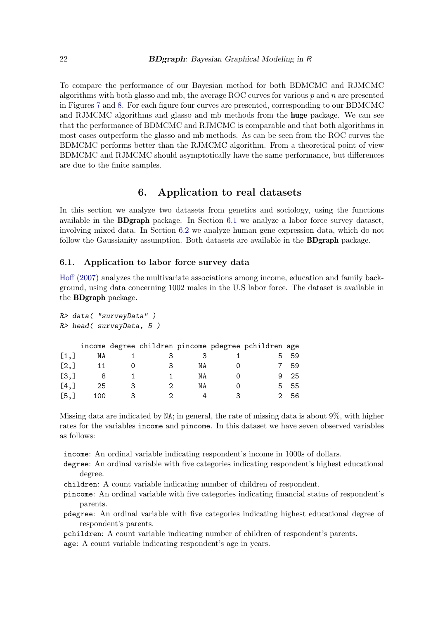To compare the performance of our Bayesian method for both BDMCMC and RJMCMC algorithms with both glasso and mb, the average ROC curves for various  $p$  and  $n$  are presented in Figures [7](#page-22-0) and [8.](#page-23-0) For each figure four curves are presented, corresponding to our BDMCMC and RJMCMC algorithms and glasso and mb methods from the huge package. We can see that the performance of BDMCMC and RJMCMC is comparable and that both algorithms in most cases outperform the glasso and mb methods. As can be seen from the ROC curves the BDMCMC performs better than the RJMCMC algorithm. From a theoretical point of view BDMCMC and RJMCMC should asymptotically have the same performance, but differences are due to the finite samples.

## 6. Application to real datasets

<span id="page-21-0"></span>In this section we analyze two datasets from genetics and sociology, using the functions available in the BDgraph package. In Section [6.1](#page-21-1) we analyze a labor force survey dataset, involving mixed data. In Section [6.2](#page-25-0) we analyze human gene expression data, which do not follow the Gaussianity assumption. Both datasets are available in the **BDgraph** package.

#### <span id="page-21-1"></span>6.1. Application to labor force survey data

[Hoff](#page-30-3) [\(2007\)](#page-30-3) analyzes the multivariate associations among income, education and family background, using data concerning 1002 males in the U.S labor force. The dataset is available in the BDgraph package.

|         | R> data( "surveyData")  |   |   |    |   |                                                      |    |  |  |
|---------|-------------------------|---|---|----|---|------------------------------------------------------|----|--|--|
|         | R> head( surveyData, 5) |   |   |    |   |                                                      |    |  |  |
|         |                         |   |   |    |   |                                                      |    |  |  |
|         |                         |   |   |    |   | income degree children pincome pdegree pchildren age |    |  |  |
| [1,]    | NA                      |   | З | 3  |   | 5                                                    | 59 |  |  |
| [2,]    | 11                      |   | З | NA |   |                                                      | 59 |  |  |
| [3,]    | 8                       |   |   | NA | O | 9                                                    | 25 |  |  |
| $[4,$ ] | 25                      | 3 | 2 | ΝA |   | 5                                                    | 55 |  |  |
| [5,]    | 100                     | 3 | 2 |    |   | 2                                                    | 56 |  |  |

Missing data are indicated by NA; in general, the rate of missing data is about 9%, with higher rates for the variables income and pincome. In this dataset we have seven observed variables as follows:

income: An ordinal variable indicating respondent's income in 1000s of dollars.

- degree: An ordinal variable with five categories indicating respondent's highest educational degree.
- children: A count variable indicating number of children of respondent.
- pincome: An ordinal variable with five categories indicating financial status of respondent's parents.
- pdegree: An ordinal variable with five categories indicating highest educational degree of respondent's parents.

pchildren: A count variable indicating number of children of respondent's parents.

age: A count variable indicating respondent's age in years.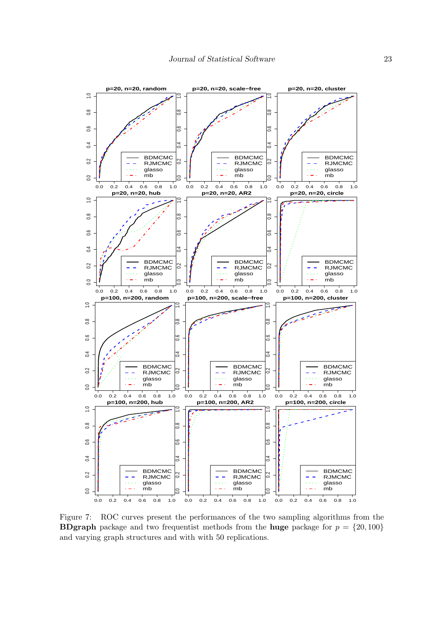

<span id="page-22-0"></span>Figure 7: ROC curves present the performances of the two sampling algorithms from the **BDgraph** package and two frequentist methods from the **huge** package for  $p = \{20, 100\}$ and varying graph structures and with with 50 replications.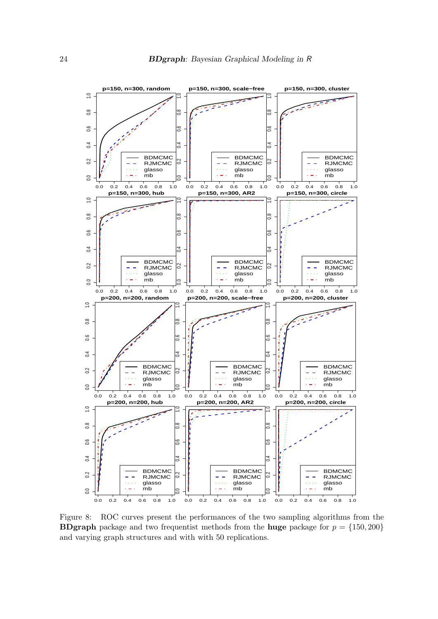

<span id="page-23-0"></span>Figure 8: ROC curves present the performances of the two sampling algorithms from the **BDgraph** package and two frequentist methods from the **huge** package for  $p = \{150, 200\}$ and varying graph structures and with with 50 replications.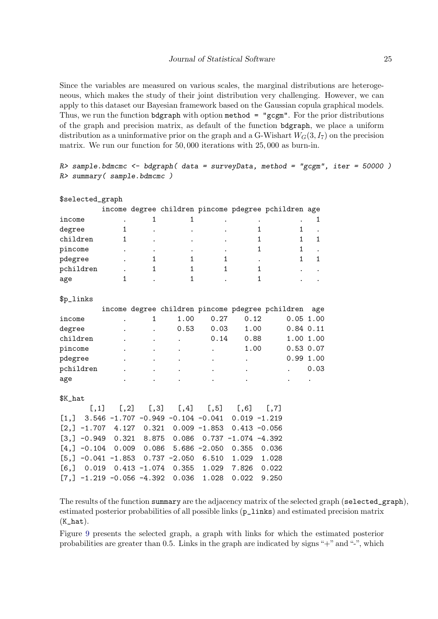Since the variables are measured on various scales, the marginal distributions are heterogeneous, which makes the study of their joint distribution very challenging. However, we can apply to this dataset our Bayesian framework based on the Gaussian copula graphical models. Thus, we run the function bdgraph with option method  $=$  "gcgm". For the prior distributions of the graph and precision matrix, as default of the function bdgraph, we place a uniform distribution as a uninformative prior on the graph and a G-Wishart  $W_G(3, I_7)$  on the precision matrix. We run our function for 50, 000 iterations with 25, 000 as burn-in.

| R> summary(sample.bdmcmc)  |                                                      |                 |                      |                 |                         | $R$ > sample.bdmcmc <- bdgraph( data = surveyData, method = "gcgm", iter = 50000) |              |  |
|----------------------------|------------------------------------------------------|-----------------|----------------------|-----------------|-------------------------|-----------------------------------------------------------------------------------|--------------|--|
| \$selected_graph           |                                                      |                 |                      |                 |                         |                                                                                   |              |  |
|                            |                                                      |                 |                      |                 |                         | income degree children pincome pdegree pchildren age                              |              |  |
| income                     |                                                      | 1               | 1                    |                 |                         |                                                                                   | 1            |  |
| degree                     | 1                                                    |                 |                      |                 | $\mathbf{1}$            | $\mathbf{1}$                                                                      |              |  |
| children                   | 1                                                    |                 |                      |                 | 1                       | $\mathbf{1}$                                                                      | 1            |  |
| pincome                    |                                                      |                 |                      |                 | 1                       | 1                                                                                 |              |  |
| pdegree                    |                                                      | $\mathbf{1}$    | $\mathbf{1}$         | $\mathbf{1}$    |                         | $\mathbf{1}$                                                                      | $\mathbf{1}$ |  |
| pchildren                  |                                                      | 1               | 1                    | $\mathbf{1}$    | 1                       |                                                                                   |              |  |
| age                        | 1                                                    |                 | $\mathbf{1}$         |                 | 1                       |                                                                                   |              |  |
| \$p_links                  |                                                      |                 |                      |                 |                         |                                                                                   |              |  |
|                            |                                                      |                 |                      |                 |                         | income degree children pincome pdegree pchildren                                  | age          |  |
| income                     |                                                      | $\mathbf{1}$    | 1.00                 | 0.27            | 0.12                    |                                                                                   | $0.05$ 1.00  |  |
| degree                     |                                                      |                 | 0.53                 | 0.03            | 1.00                    |                                                                                   | $0.84$ 0.11  |  |
| children                   |                                                      |                 | $\ddot{\phantom{a}}$ | 0.14            | 0.88                    |                                                                                   | 1.00 1.00    |  |
| pincome                    |                                                      |                 |                      |                 | 1.00                    |                                                                                   | $0.53$ 0.07  |  |
| pdegree                    |                                                      |                 |                      |                 |                         |                                                                                   | 0.991.00     |  |
| pchildren                  |                                                      |                 |                      |                 |                         |                                                                                   | 0.03         |  |
| age                        |                                                      |                 |                      |                 |                         |                                                                                   |              |  |
| \$K_hat                    |                                                      |                 |                      |                 |                         |                                                                                   |              |  |
| [,1]                       | [, 2]                                                | [, 3]           | [, 4]                | [, 5]           | [, 6]                   | [, 7]                                                                             |              |  |
| $\left[1\,,\right]$        | $3.546 - 1.707 - 0.949 - 0.104 - 0.041$ 0.019 -1.219 |                 |                      |                 |                         |                                                                                   |              |  |
| $[2,] -1.707$              |                                                      | 4.127 0.321     |                      | $0.009 - 1.853$ | $0.413 - 0.056$         |                                                                                   |              |  |
| $[3,]-0.949$               | 0.321                                                | 8.875           | 0.086                |                 | $0.737 - 1.074 - 4.392$ |                                                                                   |              |  |
| $[4,] -0.104$              | 0.009                                                | 0.086           |                      | $5.686 - 2.050$ | 0.355                   | 0.036                                                                             |              |  |
| $[5,] -0.041 -1.853$       |                                                      |                 | $0.737 - 2.050$      | 6.510           | 1.029                   | 1.028                                                                             |              |  |
| 0.019<br>$[6,$ ]           |                                                      | $0.413 - 1.074$ | 0.355                | 1.029           | 7.826                   | 0.022                                                                             |              |  |
| $[7,]-1.219 -0.056 -4.392$ |                                                      |                 | 0.036                | 1.028           | 0.022                   | 9.250                                                                             |              |  |

The results of the function summary are the adjacency matrix of the selected graph (selected\_graph), estimated posterior probabilities of all possible links (p\_links) and estimated precision matrix  $(K_hat).$ 

Figure [9](#page-25-1) presents the selected graph, a graph with links for which the estimated posterior probabilities are greater than 0.5. Links in the graph are indicated by signs "+" and "-", which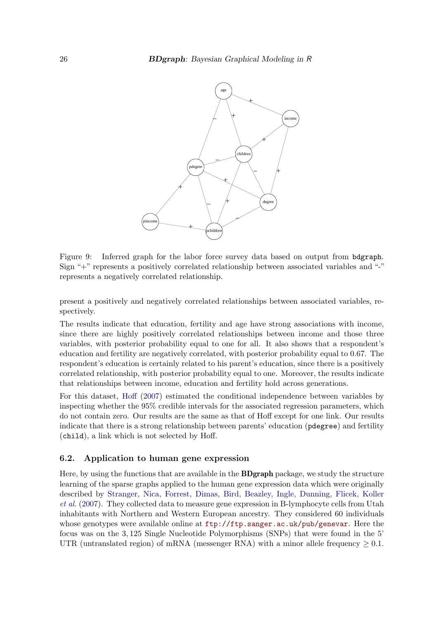<span id="page-25-1"></span>

Figure 9: Inferred graph for the labor force survey data based on output from bdgraph. Sign "+" represents a positively correlated relationship between associated variables and "-" represents a negatively correlated relationship.

present a positively and negatively correlated relationships between associated variables, respectively.

The results indicate that education, fertility and age have strong associations with income, since there are highly positively correlated relationships between income and those three variables, with posterior probability equal to one for all. It also shows that a respondent's education and fertility are negatively correlated, with posterior probability equal to 0.67. The respondent's education is certainly related to his parent's education, since there is a positively correlated relationship, with posterior probability equal to one. Moreover, the results indicate that relationships between income, education and fertility hold across generations.

For this dataset, [Hoff](#page-30-3) [\(2007\)](#page-30-3) estimated the conditional independence between variables by inspecting whether the 95% credible intervals for the associated regression parameters, which do not contain zero. Our results are the same as that of Hoff except for one link. Our results indicate that there is a strong relationship between parents' education (pdegree) and fertility (child), a link which is not selected by Hoff.

#### <span id="page-25-0"></span>6.2. Application to human gene expression

Here, by using the functions that are available in the BDgraph package, we study the structure learning of the sparse graphs applied to the human gene expression data which were originally described by [Stranger, Nica, Forrest, Dimas, Bird, Beazley, Ingle, Dunning, Flicek, Koller](#page-32-11) *[et al.](#page-32-11)* [\(2007\)](#page-32-11). They collected data to measure gene expression in B-lymphocyte cells from Utah inhabitants with Northern and Western European ancestry. They considered 60 individuals whose genotypes were available online at  $ftp://ftp.sanger.ac.uk/pub/genevar.$  $ftp://ftp.sanger.ac.uk/pub/genevar.$  Here the focus was on the 3, 125 Single Nucleotide Polymorphisms (SNPs) that were found in the 5' UTR (untranslated region) of mRNA (messenger RNA) with a minor allele frequency  $\geq 0.1$ .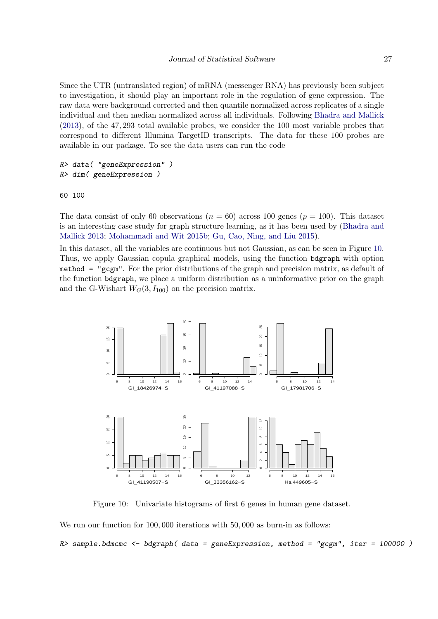Since the UTR (untranslated region) of mRNA (messenger RNA) has previously been subject to investigation, it should play an important role in the regulation of gene expression. The raw data were background corrected and then quantile normalized across replicates of a single individual and then median normalized across all individuals. Following [Bhadra and Mallick](#page-30-13) [\(2013\)](#page-30-13), of the 47, 293 total available probes, we consider the 100 most variable probes that correspond to different Illumina TargetID transcripts. The data for these 100 probes are available in our package. To see the data users can run the code

R> data( "geneExpression" ) R> dim( geneExpression )

60 100

The data consist of only 60 observations ( $n = 60$ ) across 100 genes ( $p = 100$ ). This dataset is an interesting case study for graph structure learning, as it has been used by [\(Bhadra and](#page-30-13) [Mallick 2013;](#page-30-13) [Mohammadi and Wit 2015b;](#page-31-0) [Gu, Cao, Ning, and Liu 2015\)](#page-30-14).

In this dataset, all the variables are continuous but not Gaussian, as can be seen in Figure [10.](#page-26-0) Thus, we apply Gaussian copula graphical models, using the function bdgraph with option method = "gcgm". For the prior distributions of the graph and precision matrix, as default of the function bdgraph, we place a uniform distribution as a uninformative prior on the graph and the G-Wishart  $W_G(3, I_{100})$  on the precision matrix.



<span id="page-26-0"></span>Figure 10: Univariate histograms of first 6 genes in human gene dataset.

We run our function for 100,000 iterations with 50,000 as burn-in as follows:

 $R$ > sample.bdmcmc <- bdgraph( data = geneExpression, method = "gcgm", iter = 100000)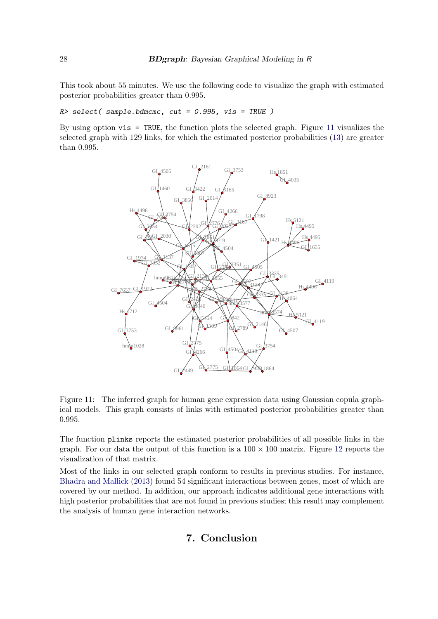This took about 55 minutes. We use the following code to visualize the graph with estimated posterior probabilities greater than 0.995.

 $R$ > select( sample.bdmcmc, cut = 0.995, vis = TRUE )

By using option vis = TRUE, the function plots the selected graph. Figure [11](#page-27-1) visualizes the selected graph with 129 links, for which the estimated posterior probabilities [\(13\)](#page-10-1) are greater than 0.995.



Figure 11: The inferred graph for human gene expression data using Gaussian copula graphical models. This graph consists of links with estimated posterior probabilities greater than 0.995.

The function plinks reports the estimated posterior probabilities of all possible links in the graph. For our data the output of this function is a  $100 \times 100$  matrix. Figure [12](#page-28-0) reports the visualization of that matrix.

<span id="page-27-0"></span>Most of the links in our selected graph conform to results in previous studies. For instance, [Bhadra and Mallick](#page-30-13) [\(2013\)](#page-30-13) found 54 significant interactions between genes, most of which are covered by our method. In addition, our approach indicates additional gene interactions with high posterior probabilities that are not found in previous studies; this result may complement the analysis of human gene interaction networks.

## <span id="page-27-1"></span>7. Conclusion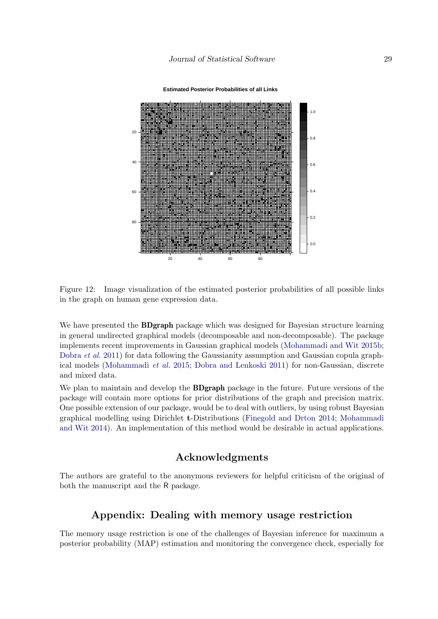**Estimated Posterior Probabilities of all Links**



Figure 12: Image visualization of the estimated posterior probabilities of all possible links in the graph on human gene expression data.

We have presented the **BDgraph** package which was designed for Bayesian structure learning in general undirected graphical models (decomposable and non-decomposable). The package implements recent improvements in Gaussian graphical models [\(Mohammadi and Wit 2015b;](#page-31-0) [Dobra](#page-30-0) *et al.* [2011\)](#page-30-0) for data following the Gaussianity assumption and Gaussian copula graphical models [\(Mohammadi](#page-31-1) *et al.* [2015;](#page-31-1) [Dobra and Lenkoski 2011\)](#page-30-1) for non-Gaussian, discrete and mixed data.

We plan to maintain and develop the **BDgraph** package in the future. Future versions of the package will contain more options for prior distributions of the graph and precision matrix. One possible extension of our package, would be to deal with outliers, by using robust Bayesian graphical modelling using Dirichlet t-Distributions [\(Finegold and Drton 2014;](#page-30-15) [Mohammadi](#page-31-16) [and Wit 2014\)](#page-31-16). An implementation of this method would be desirable in actual applications.

## <span id="page-28-0"></span>Acknowledgments

The authors are grateful to the anonymous reviewers for helpful criticism of the original of both the manuscript and the R package.

## Appendix: Dealing with memory usage restriction

The memory usage restriction is one of the challenges of Bayesian inference for maximum a posterior probability (MAP) estimation and monitoring the convergence check, especially for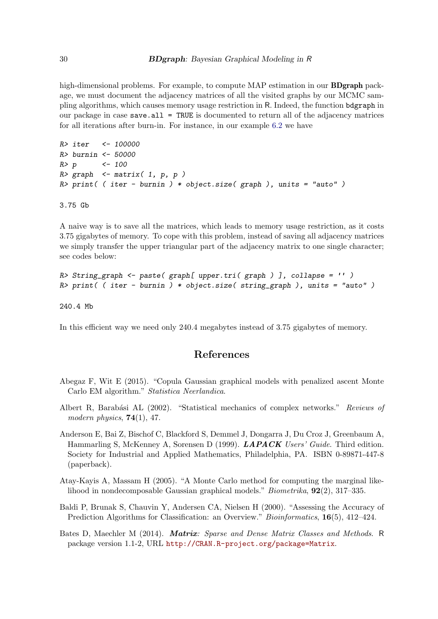high-dimensional problems. For example, to compute MAP estimation in our **BDgraph** package, we must document the adjacency matrices of all the visited graphs by our MCMC sampling algorithms, which causes memory usage restriction in R. Indeed, the function bdgraph in our package in case save.all = TRUE is documented to return all of the adjacency matrices for all iterations after burn-in. For instance, in our example [6.2](#page-25-0) we have

```
R> iter <- 100000
R> burnin <- 50000
R > p <- 100
R> graph \leq matrix( 1, p, p)
R> print( ( iter - burnin ) * object.size( graph ), units = "auto" )
3.75 Gb
```
A naive way is to save all the matrices, which leads to memory usage restriction, as it costs 3.75 gigabytes of memory. To cope with this problem, instead of saving all adjacency matrices we simply transfer the upper triangular part of the adjacency matrix to one single character; see codes below:

```
R> String_graph <- paste( graph[ upper.tri( graph ) ], collapse = '' )
R> print( ( iter - burnin ) * object.size( string_graph ), units = "auto" )
```
240.4 Mb

In this efficient way we need only 240.4 megabytes instead of 3.75 gigabytes of memory.

## References

- <span id="page-29-3"></span>Abegaz F, Wit E (2015). "Copula Gaussian graphical models with penalized ascent Monte Carlo EM algorithm." *Statistica Neerlandica*.
- <span id="page-29-5"></span>Albert R, Barabási AL (2002). "Statistical mechanics of complex networks." *Reviews of modern physics*, 74(1), 47.
- <span id="page-29-1"></span>Anderson E, Bai Z, Bischof C, Blackford S, Demmel J, Dongarra J, Du Croz J, Greenbaum A, Hammarling S, McKenney A, Sorensen D (1999). LAPACK *Users' Guide*. Third edition. Society for Industrial and Applied Mathematics, Philadelphia, PA. ISBN 0-89871-447-8 (paperback).
- <span id="page-29-2"></span>Atay-Kayis A, Massam H (2005). "A Monte Carlo method for computing the marginal likelihood in nondecomposable Gaussian graphical models." *Biometrika*, 92(2), 317–335.
- <span id="page-29-4"></span>Baldi P, Brunak S, Chauvin Y, Andersen CA, Nielsen H (2000). "Assessing the Accuracy of Prediction Algorithms for Classification: an Overview." *Bioinformatics*, 16(5), 412–424.

<span id="page-29-0"></span>Bates D, Maechler M (2014). Matrix*: Sparse and Dense Matrix Classes and Methods*. R package version 1.1-2, URL <http://CRAN.R-project.org/package=Matrix>.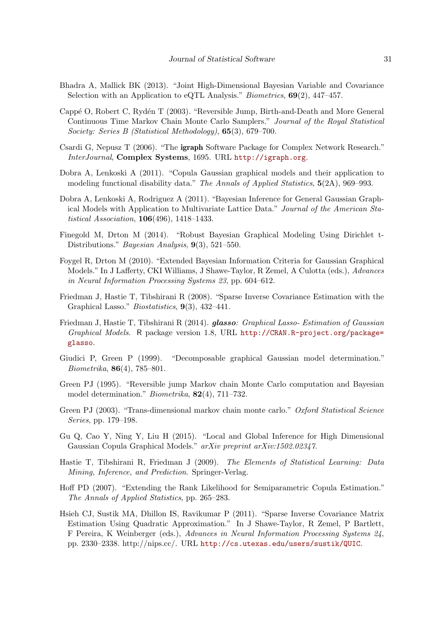- <span id="page-30-13"></span>Bhadra A, Mallick BK (2013). "Joint High-Dimensional Bayesian Variable and Covariance Selection with an Application to eQTL Analysis." *Biometrics*, 69(2), 447–457.
- <span id="page-30-9"></span>Cappé O, Robert C, Rydén T (2003). "Reversible Jump, Birth-and-Death and More General Continuous Time Markov Chain Monte Carlo Samplers." *Journal of the Royal Statistical Society: Series B (Statistical Methodology)*, 65(3), 679–700.
- <span id="page-30-6"></span>Csardi G, Nepusz T (2006). "The igraph Software Package for Complex Network Research." *InterJournal*, Complex Systems, 1695. URL <http://igraph.org>.
- <span id="page-30-1"></span>Dobra A, Lenkoski A (2011). "Copula Gaussian graphical models and their application to modeling functional disability data." *The Annals of Applied Statistics*, 5(2A), 969–993.
- <span id="page-30-0"></span>Dobra A, Lenkoski A, Rodriguez A (2011). "Bayesian Inference for General Gaussian Graphical Models with Application to Multivariate Lattice Data." *Journal of the American Statistical Association*, 106(496), 1418–1433.
- <span id="page-30-15"></span>Finegold M, Drton M (2014). "Robust Bayesian Graphical Modeling Using Dirichlet t-Distributions." *Bayesian Analysis*, 9(3), 521–550.
- <span id="page-30-12"></span>Foygel R, Drton M (2010). "Extended Bayesian Information Criteria for Gaussian Graphical Models." In J Lafferty, CKI Williams, J Shawe-Taylor, R Zemel, A Culotta (eds.), *Advances in Neural Information Processing Systems 23*, pp. 604–612.
- <span id="page-30-2"></span>Friedman J, Hastie T, Tibshirani R (2008). "Sparse Inverse Covariance Estimation with the Graphical Lasso." *Biostatistics*, 9(3), 432–441.
- <span id="page-30-4"></span>Friedman J, Hastie T, Tibshirani R (2014). glasso*: Graphical Lasso- Estimation of Gaussian Graphical Models*. R package version 1.8, URL [http://CRAN.R-project.org/package=](http://CRAN.R-project.org/package=glasso) [glasso](http://CRAN.R-project.org/package=glasso).
- <span id="page-30-11"></span>Giudici P, Green P (1999). "Decomposable graphical Gaussian model determination." *Biometrika*, 86(4), 785–801.
- <span id="page-30-7"></span>Green PJ (1995). "Reversible jump Markov chain Monte Carlo computation and Bayesian model determination." *Biometrika*, 82(4), 711–732.
- <span id="page-30-10"></span>Green PJ (2003). "Trans-dimensional markov chain monte carlo." *Oxford Statistical Science Series*, pp. 179–198.
- <span id="page-30-14"></span>Gu Q, Cao Y, Ning Y, Liu H (2015). "Local and Global Inference for High Dimensional Gaussian Copula Graphical Models." *arXiv preprint arXiv:1502.02347*.
- <span id="page-30-8"></span>Hastie T, Tibshirani R, Friedman J (2009). *The Elements of Statistical Learning: Data Mining, Inference, and Prediction*. Springer-Verlag.
- <span id="page-30-3"></span>Hoff PD (2007). "Extending the Rank Likelihood for Semiparametric Copula Estimation." *The Annals of Applied Statistics*, pp. 265–283.
- <span id="page-30-5"></span>Hsieh CJ, Sustik MA, Dhillon IS, Ravikumar P (2011). "Sparse Inverse Covariance Matrix Estimation Using Quadratic Approximation." In J Shawe-Taylor, R Zemel, P Bartlett, F Pereira, K Weinberger (eds.), *Advances in Neural Information Processing Systems 24*, pp. 2330–2338. http://nips.cc/. URL <http://cs.utexas.edu/users/sustik/QUIC>.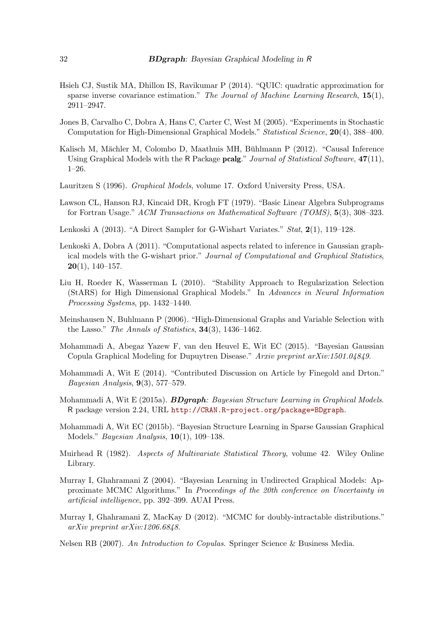- <span id="page-31-9"></span>Hsieh CJ, Sustik MA, Dhillon IS, Ravikumar P (2014). "QUIC: quadratic approximation for sparse inverse covariance estimation." *The Journal of Machine Learning Research*, 15(1), 2911–2947.
- <span id="page-31-3"></span>Jones B, Carvalho C, Dobra A, Hans C, Carter C, West M (2005). "Experiments in Stochastic Computation for High-Dimensional Graphical Models." *Statistical Science*, 20(4), 388–400.
- <span id="page-31-8"></span>Kalisch M, Mächler M, Colombo D, Maathuis MH, Bühlmann P (2012). "Causal Inference Using Graphical Models with the R Package pcalg." *Journal of Statistical Software*, 47(11), 1–26.
- <span id="page-31-2"></span>Lauritzen S (1996). *Graphical Models*, volume 17. Oxford University Press, USA.
- <span id="page-31-10"></span>Lawson CL, Hanson RJ, Kincaid DR, Krogh FT (1979). "Basic Linear Algebra Subprograms for Fortran Usage." *ACM Transactions on Mathematical Software (TOMS)*, 5(3), 308–323.
- <span id="page-31-7"></span>Lenkoski A (2013). "A Direct Sampler for G-Wishart Variates." *Stat*, 2(1), 119–128.
- <span id="page-31-12"></span>Lenkoski A, Dobra A (2011). "Computational aspects related to inference in Gaussian graphical models with the G-wishart prior." *Journal of Computational and Graphical Statistics*,  $20(1)$ , 140-157.
- <span id="page-31-15"></span>Liu H, Roeder K, Wasserman L (2010). "Stability Approach to Regularization Selection (StARS) for High Dimensional Graphical Models." In *Advances in Neural Information Processing Systems*, pp. 1432–1440.
- <span id="page-31-4"></span>Meinshausen N, Buhlmann P (2006). "High-Dimensional Graphs and Variable Selection with the Lasso." *The Annals of Statistics*, 34(3), 1436–1462.
- <span id="page-31-1"></span>Mohammadi A, Abegaz Yazew F, van den Heuvel E, Wit EC (2015). "Bayesian Gaussian Copula Graphical Modeling for Dupuytren Disease." *Arxiv preprint arXiv:1501.04849*.
- <span id="page-31-16"></span>Mohammadi A, Wit E (2014). "Contributed Discussion on Article by Finegold and Drton." *Bayesian Analysis*, 9(3), 577–579.
- <span id="page-31-6"></span>Mohammadi A, Wit E (2015a). BDgraph*: Bayesian Structure Learning in Graphical Models*. R package version 2.24, URL <http://CRAN.R-project.org/package=BDgraph>.
- <span id="page-31-0"></span>Mohammadi A, Wit EC (2015b). "Bayesian Structure Learning in Sparse Gaussian Graphical Models." *Bayesian Analysis*, 10(1), 109–138.
- <span id="page-31-11"></span>Muirhead R (1982). *Aspects of Multivariate Statistical Theory*, volume 42. Wiley Online Library.
- <span id="page-31-5"></span>Murray I, Ghahramani Z (2004). "Bayesian Learning in Undirected Graphical Models: Approximate MCMC Algorithms." In *Proceedings of the 20th conference on Uncertainty in artificial intelligence*, pp. 392–399. AUAI Press.
- <span id="page-31-14"></span>Murray I, Ghahramani Z, MacKay D (2012). "MCMC for doubly-intractable distributions." *arXiv preprint arXiv:1206.6848*.
- <span id="page-31-13"></span>Nelsen RB (2007). *An Introduction to Copulas*. Springer Science & Business Media.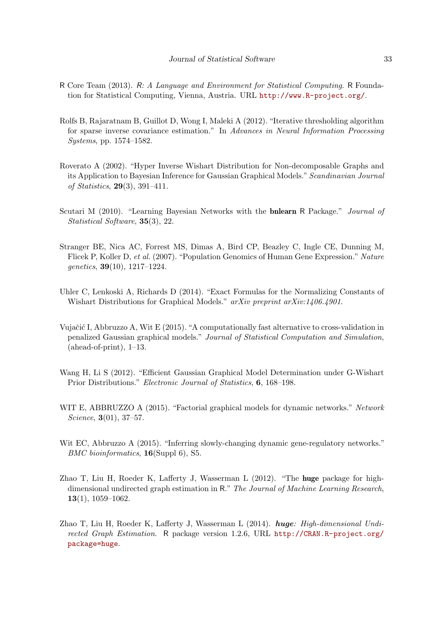- <span id="page-32-3"></span>R Core Team (2013). R*: A Language and Environment for Statistical Computing*. R Foundation for Statistical Computing, Vienna, Austria. URL <http://www.R-project.org/>.
- <span id="page-32-0"></span>Rolfs B, Rajaratnam B, Guillot D, Wong I, Maleki A (2012). "Iterative thresholding algorithm for sparse inverse covariance estimation." In *Advances in Neural Information Processing Systems*, pp. 1574–1582.
- <span id="page-32-7"></span>Roverato A (2002). "Hyper Inverse Wishart Distribution for Non-decomposable Graphs and its Application to Bayesian Inference for Gaussian Graphical Models."*Scandinavian Journal of Statistics*, 29(3), 391–411.
- <span id="page-32-6"></span>Scutari M (2010). "Learning Bayesian Networks with the bnlearn R Package." *Journal of Statistical Software*, 35(3), 22.
- <span id="page-32-11"></span>Stranger BE, Nica AC, Forrest MS, Dimas A, Bird CP, Beazley C, Ingle CE, Dunning M, Flicek P, Koller D, *et al.* (2007). "Population Genomics of Human Gene Expression." *Nature genetics*, 39(10), 1217–1224.
- <span id="page-32-4"></span>Uhler C, Lenkoski A, Richards D (2014). "Exact Formulas for the Normalizing Constants of Wishart Distributions for Graphical Models." *arXiv preprint arXiv:1406.4901*.
- <span id="page-32-10"></span>Vujačić I, Abbruzzo A, Wit E (2015). "A computationally fast alternative to cross-validation in penalized Gaussian graphical models." *Journal of Statistical Computation and Simulation*,  $(abead-of-print), 1-13.$
- <span id="page-32-8"></span>Wang H, Li S (2012). "Efficient Gaussian Graphical Model Determination under G-Wishart Prior Distributions." *Electronic Journal of Statistics*, 6, 168–198.
- <span id="page-32-1"></span>WIT E, ABBRUZZO A (2015). "Factorial graphical models for dynamic networks." *Network Science*, 3(01), 37–57.
- <span id="page-32-2"></span>Wit EC, Abbruzzo A (2015). "Inferring slowly-changing dynamic gene-regulatory networks." *BMC bioinformatics*, 16(Suppl 6), S5.
- <span id="page-32-9"></span>Zhao T, Liu H, Roeder K, Lafferty J, Wasserman L (2012). "The huge package for highdimensional undirected graph estimation in R." *The Journal of Machine Learning Research*,  $13(1), 1059-1062.$
- <span id="page-32-5"></span>Zhao T, Liu H, Roeder K, Lafferty J, Wasserman L (2014). huge*: High-dimensional Undirected Graph Estimation*. R package version 1.2.6, URL [http://CRAN.R-project.org/](http://CRAN.R-project.org/package=huge) [package=huge](http://CRAN.R-project.org/package=huge).